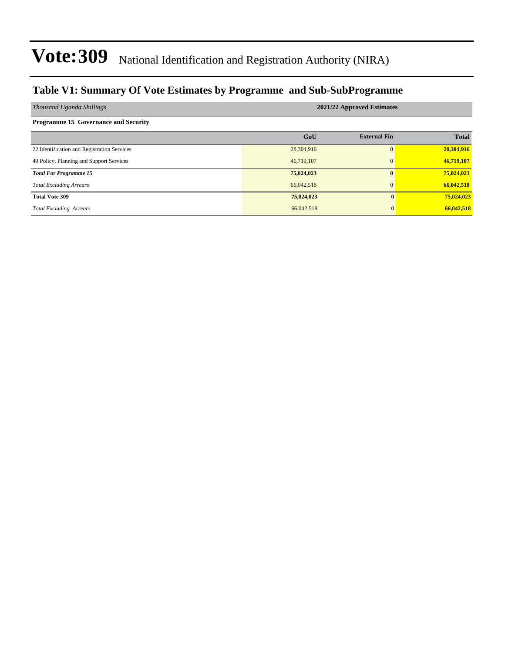### **Table V1: Summary Of Vote Estimates by Programme and Sub-SubProgramme**

| Thousand Uganda Shillings                   | 2021/22 Approved Estimates |                     |              |  |  |  |  |  |
|---------------------------------------------|----------------------------|---------------------|--------------|--|--|--|--|--|
| <b>Programme 15 Governance and Security</b> |                            |                     |              |  |  |  |  |  |
|                                             | GoU                        | <b>External Fin</b> | <b>Total</b> |  |  |  |  |  |
| 22 Identification and Registration Services | 28,304,916                 | 0                   | 28,304,916   |  |  |  |  |  |
| 49 Policy, Planning and Support Services    | 46,719,107                 | $\mathbf{0}$        | 46,719,107   |  |  |  |  |  |
| <b>Total For Programme 15</b>               | 75,024,023                 | $\mathbf{0}$        | 75,024,023   |  |  |  |  |  |
| <b>Total Excluding Arrears</b>              | 66,042,518                 | $\mathbf{0}$        | 66,042,518   |  |  |  |  |  |
| <b>Total Vote 309</b>                       | 75,024,023                 | $\mathbf{0}$        | 75,024,023   |  |  |  |  |  |
| <b>Total Excluding Arrears</b>              | 66,042,518                 | $\mathbf{0}$        | 66,042,518   |  |  |  |  |  |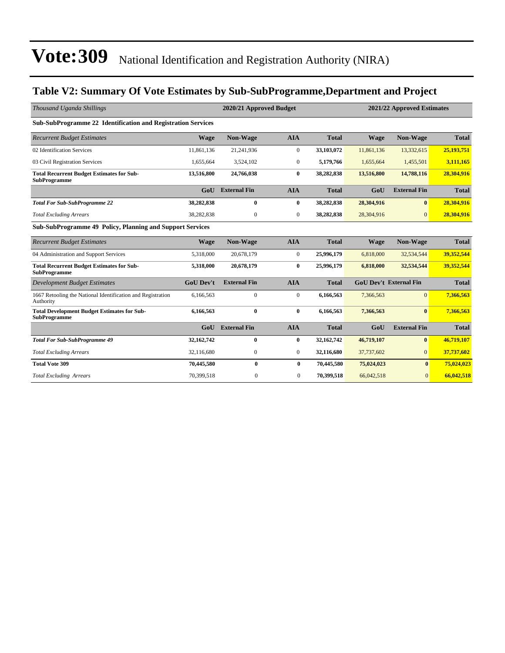### **Table V2: Summary Of Vote Estimates by Sub-SubProgramme,Department and Project**

| Thousand Uganda Shillings                                                 |                  | 2020/21 Approved Budget<br>2021/22 Approved Estimates |                  |              |             |                               |              |
|---------------------------------------------------------------------------|------------------|-------------------------------------------------------|------------------|--------------|-------------|-------------------------------|--------------|
| <b>Sub-SubProgramme 22 Identification and Registration Services</b>       |                  |                                                       |                  |              |             |                               |              |
| <b>Recurrent Budget Estimates</b>                                         | <b>Wage</b>      | <b>Non-Wage</b>                                       | <b>AIA</b>       | <b>Total</b> | <b>Wage</b> | Non-Wage                      | <b>Total</b> |
| 02 Identification Services                                                | 11,861,136       | 21,241,936                                            | $\overline{0}$   | 33,103,072   | 11,861,136  | 13,332,615                    | 25,193,751   |
| 03 Civil Registration Services                                            | 1,655,664        | 3,524,102                                             | $\mathbf{0}$     | 5,179,766    | 1,655,664   | 1,455,501                     | 3,111,165    |
| <b>Total Recurrent Budget Estimates for Sub-</b><br><b>SubProgramme</b>   | 13,516,800       | 24,766,038                                            | $\bf{0}$         | 38,282,838   | 13,516,800  | 14,788,116                    | 28,304,916   |
|                                                                           | GoU              | <b>External Fin</b>                                   | <b>AIA</b>       | <b>Total</b> | GoU         | <b>External Fin</b>           | <b>Total</b> |
| <b>Total For Sub-SubProgramme 22</b>                                      | 38,282,838       | $\bf{0}$                                              | $\bf{0}$         | 38,282,838   | 28,304,916  | $\bf{0}$                      | 28,304,916   |
| <b>Total Excluding Arrears</b>                                            | 38,282,838       | $\boldsymbol{0}$                                      | $\boldsymbol{0}$ | 38,282,838   | 28,304,916  | $\mathbf{0}$                  | 28,304,916   |
| <b>Sub-SubProgramme 49 Policy, Planning and Support Services</b>          |                  |                                                       |                  |              |             |                               |              |
| <b>Recurrent Budget Estimates</b>                                         | <b>Wage</b>      | Non-Wage                                              | <b>AIA</b>       | <b>Total</b> | <b>Wage</b> | Non-Wage                      | <b>Total</b> |
| 04 Administration and Support Services                                    | 5,318,000        | 20,678,179                                            | $\boldsymbol{0}$ | 25,996,179   | 6,818,000   | 32,534,544                    | 39,352,544   |
| <b>Total Recurrent Budget Estimates for Sub-</b><br><b>SubProgramme</b>   | 5,318,000        | 20,678,179                                            | $\bf{0}$         | 25,996,179   | 6,818,000   | 32,534,544                    | 39,352,544   |
| <b>Development Budget Estimates</b>                                       | <b>GoU Dev't</b> | <b>External Fin</b>                                   | <b>AIA</b>       | <b>Total</b> |             | <b>GoU Dev't External Fin</b> | <b>Total</b> |
| 1667 Retooling the National Identification and Registration<br>Authority  | 6,166,563        | $\overline{0}$                                        | $\boldsymbol{0}$ | 6,166,563    | 7,366,563   | $\mathbf{0}$                  | 7,366,563    |
| <b>Total Development Budget Estimates for Sub-</b><br><b>SubProgramme</b> | 6,166,563        | $\bf{0}$                                              | $\bf{0}$         | 6,166,563    | 7,366,563   | $\mathbf{0}$                  | 7,366,563    |
|                                                                           | GoU              | <b>External Fin</b>                                   | <b>AIA</b>       | <b>Total</b> | GoU         | <b>External Fin</b>           | <b>Total</b> |
| <b>Total For Sub-SubProgramme 49</b>                                      | 32,162,742       | $\bf{0}$                                              | 0                | 32,162,742   | 46,719,107  | $\mathbf{0}$                  | 46,719,107   |
| <b>Total Excluding Arrears</b>                                            | 32,116,680       | $\boldsymbol{0}$                                      | $\boldsymbol{0}$ | 32,116,680   | 37,737,602  | $\overline{0}$                | 37,737,602   |
| <b>Total Vote 309</b>                                                     | 70,445,580       | $\bf{0}$                                              | $\bf{0}$         | 70,445,580   | 75,024,023  | $\bf{0}$                      | 75,024,023   |
| <b>Total Excluding Arrears</b>                                            | 70,399,518       | $\mathbf{0}$                                          | $\mathbf{0}$     | 70,399,518   | 66,042,518  | $\mathbf{0}$                  | 66,042,518   |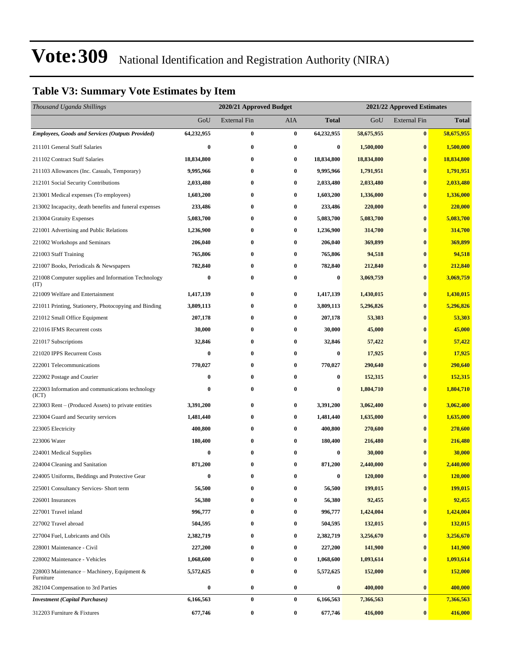### **Table V3: Summary Vote Estimates by Item**

| Thousand Uganda Shillings                                   |                  | 2020/21 Approved Budget |                  |                  | 2021/22 Approved Estimates |                     |              |  |
|-------------------------------------------------------------|------------------|-------------------------|------------------|------------------|----------------------------|---------------------|--------------|--|
|                                                             | GoU              | External Fin            | AIA              | <b>Total</b>     | GoU                        | <b>External Fin</b> | <b>Total</b> |  |
| <b>Employees, Goods and Services (Outputs Provided)</b>     | 64,232,955       | $\bf{0}$                | $\bf{0}$         | 64,232,955       | 58,675,955                 | $\bf{0}$            | 58,675,955   |  |
| 211101 General Staff Salaries                               | 0                | $\bf{0}$                | $\bf{0}$         | 0                | 1,500,000                  | $\bf{0}$            | 1,500,000    |  |
| 211102 Contract Staff Salaries                              | 18,834,800       | $\bf{0}$                | $\bf{0}$         | 18,834,800       | 18,834,800                 | $\bf{0}$            | 18,834,800   |  |
| 211103 Allowances (Inc. Casuals, Temporary)                 | 9,995,966        | $\bf{0}$                | $\bf{0}$         | 9,995,966        | 1,791,951                  | $\bf{0}$            | 1,791,951    |  |
| 212101 Social Security Contributions                        | 2,033,480        | $\bf{0}$                | $\bf{0}$         | 2,033,480        | 2,033,480                  | $\bf{0}$            | 2,033,480    |  |
| 213001 Medical expenses (To employees)                      | 1,603,200        | $\bf{0}$                | $\bf{0}$         | 1,603,200        | 1,336,000                  | $\bf{0}$            | 1,336,000    |  |
| 213002 Incapacity, death benefits and funeral expenses      | 233,486          | 0                       | $\bf{0}$         | 233,486          | 220,000                    | $\bf{0}$            | 220,000      |  |
| 213004 Gratuity Expenses                                    | 5,083,700        | $\bf{0}$                | $\bf{0}$         | 5,083,700        | 5,083,700                  | $\bf{0}$            | 5,083,700    |  |
| 221001 Advertising and Public Relations                     | 1,236,900        | $\bf{0}$                | $\bf{0}$         | 1,236,900        | 314,700                    | $\bf{0}$            | 314,700      |  |
| 221002 Workshops and Seminars                               | 206,040          | $\bf{0}$                | $\bf{0}$         | 206,040          | 369,899                    | $\bf{0}$            | 369,899      |  |
| 221003 Staff Training                                       | 765,806          | $\bf{0}$                | $\bf{0}$         | 765,806          | 94,518                     | $\bf{0}$            | 94,518       |  |
| 221007 Books, Periodicals & Newspapers                      | 782,840          | 0                       | $\bf{0}$         | 782,840          | 212,840                    | $\bf{0}$            | 212,840      |  |
| 221008 Computer supplies and Information Technology<br>(TT) | $\boldsymbol{0}$ | $\bf{0}$                | $\bf{0}$         | 0                | 3,069,759                  | $\bf{0}$            | 3,069,759    |  |
| 221009 Welfare and Entertainment                            | 1,417,139        | $\bf{0}$                | $\bf{0}$         | 1,417,139        | 1,430,015                  | $\bf{0}$            | 1,430,015    |  |
| 221011 Printing, Stationery, Photocopying and Binding       | 3,809,113        | 0                       | $\bf{0}$         | 3,809,113        | 5,296,826                  | $\bf{0}$            | 5,296,826    |  |
| 221012 Small Office Equipment                               | 207,178          | $\bf{0}$                | $\bf{0}$         | 207,178          | 53,303                     | $\bf{0}$            | 53,303       |  |
| 221016 IFMS Recurrent costs                                 | 30,000           | $\bf{0}$                | $\bf{0}$         | 30,000           | 45,000                     | $\bf{0}$            | 45,000       |  |
| 221017 Subscriptions                                        | 32,846           | $\bf{0}$                | $\bf{0}$         | 32,846           | 57,422                     | $\bf{0}$            | 57,422       |  |
| 221020 IPPS Recurrent Costs                                 | 0                | $\bf{0}$                | $\bf{0}$         | $\bf{0}$         | 17,925                     | $\bf{0}$            | 17,925       |  |
| 222001 Telecommunications                                   | 770,027          | 0                       | $\bf{0}$         | 770,027          | 290,640                    | $\bf{0}$            | 290,640      |  |
| 222002 Postage and Courier                                  | 0                | 0                       | $\bf{0}$         | 0                | 152,315                    | $\bf{0}$            | 152,315      |  |
| 222003 Information and communications technology<br>(ICT)   | 0                | $\bf{0}$                | $\bf{0}$         | $\bf{0}$         | 1,804,710                  | $\bf{0}$            | 1,804,710    |  |
| 223003 Rent – (Produced Assets) to private entities         | 3,391,200        | $\bf{0}$                | $\bf{0}$         | 3,391,200        | 3,062,400                  | $\bf{0}$            | 3,062,400    |  |
| 223004 Guard and Security services                          | 1,481,440        | 0                       | $\bf{0}$         | 1,481,440        | 1,635,000                  | $\bf{0}$            | 1,635,000    |  |
| 223005 Electricity                                          | 400,800          | $\bf{0}$                | $\bf{0}$         | 400,800          | 270,600                    | $\bf{0}$            | 270,600      |  |
| 223006 Water                                                | 180,400          | $\bf{0}$                | $\bf{0}$         | 180,400          | 216,480                    | $\bf{0}$            | 216,480      |  |
| 224001 Medical Supplies                                     | 0                | $\bf{0}$                | $\bf{0}$         | 0                | 30,000                     | $\bf{0}$            | 30,000       |  |
| 224004 Cleaning and Sanitation                              | 871,200          | $\bf{0}$                | $\bf{0}$         | 871,200          | 2,440,000                  | $\bf{0}$            | 2,440,000    |  |
| 224005 Uniforms, Beddings and Protective Gear               | $\bf{0}$         | 0                       | $\bf{0}$         | $\boldsymbol{0}$ | 120,000                    | $\bf{0}$            | 120,000      |  |
| 225001 Consultancy Services- Short term                     | 56,500           | 0                       | $\bf{0}$         | 56,500           | 199,015                    | $\bf{0}$            | 199,015      |  |
| 226001 Insurances                                           | 56,380           | $\bf{0}$                | $\boldsymbol{0}$ | 56,380           | 92,455                     | $\bf{0}$            | 92,455       |  |
| 227001 Travel inland                                        | 996,777          | $\bf{0}$                | $\bf{0}$         | 996,777          | 1,424,004                  | $\bf{0}$            | 1,424,004    |  |
| 227002 Travel abroad                                        | 504,595          | $\bf{0}$                | $\bf{0}$         | 504,595          | 132,015                    | $\bf{0}$            | 132,015      |  |
| 227004 Fuel, Lubricants and Oils                            | 2,382,719        | 0                       | $\bf{0}$         | 2,382,719        | 3,256,670                  | $\bf{0}$            | 3,256,670    |  |
| 228001 Maintenance - Civil                                  | 227,200          | $\bf{0}$                | $\bf{0}$         | 227,200          | 141,900                    | $\bf{0}$            | 141,900      |  |
| 228002 Maintenance - Vehicles                               | 1,068,600        | $\bf{0}$                | $\bf{0}$         | 1,068,600        | 1,093,614                  | $\bf{0}$            | 1,093,614    |  |
| 228003 Maintenance – Machinery, Equipment $\&$<br>Furniture | 5,572,625        | $\bf{0}$                | $\bf{0}$         | 5,572,625        | 152,000                    | $\bf{0}$            | 152,000      |  |
| 282104 Compensation to 3rd Parties                          | 0                | $\bf{0}$                | $\bf{0}$         | $\boldsymbol{0}$ | 400,000                    | $\bf{0}$            | 400,000      |  |
| <b>Investment</b> (Capital Purchases)                       | 6,166,563        | $\pmb{0}$               | $\bf{0}$         | 6,166,563        | 7,366,563                  | $\bf{0}$            | 7,366,563    |  |
| 312203 Furniture & Fixtures                                 | 677,746          | $\pmb{0}$               | $\bf{0}$         | 677,746          | 416,000                    | $\bf{0}$            | 416,000      |  |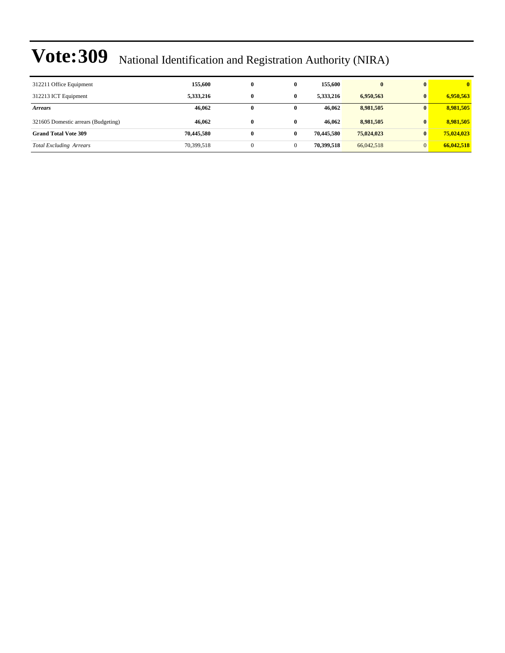| 312211 Office Equipment             | 155,600    | 0        | $\bf{0}$ | 155,600    | $\bf{0}$   | $\mathbf{0}$ | $\overline{\mathbf{0}}$ |
|-------------------------------------|------------|----------|----------|------------|------------|--------------|-------------------------|
| 312213 ICT Equipment                | 5,333,216  | $\bf{0}$ | 0        | 5,333,216  | 6,950,563  | $\mathbf{0}$ | 6,950,563               |
| <b>Arrears</b>                      | 46,062     | $\bf{0}$ | 0        | 46.062     | 8,981,505  | 0            | 8,981,505               |
| 321605 Domestic arrears (Budgeting) | 46,062     | $\bf{0}$ | 0        | 46.062     | 8,981,505  | $\mathbf{0}$ | 8,981,505               |
| <b>Grand Total Vote 309</b>         | 70,445,580 | $\bf{0}$ | 0        | 70,445,580 | 75,024,023 | $\mathbf{0}$ | 75,024,023              |
| <b>Total Excluding Arrears</b>      | 70,399,518 |          |          | 70,399,518 | 66,042,518 | $\Omega$     | 66,042,518              |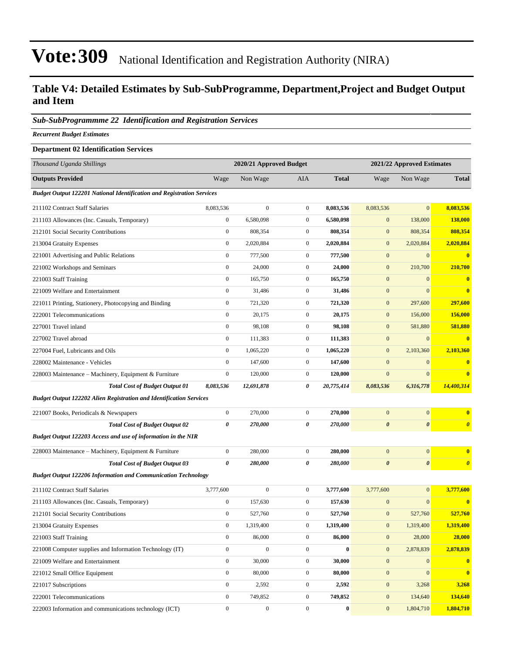### **Table V4: Detailed Estimates by Sub-SubProgramme, Department,Project and Budget Output and Item**

#### *Sub-SubProgrammme 22 Identification and Registration Services*

*Recurrent Budget Estimates*

#### **Department 02 Identification Services**

| Thousand Uganda Shillings                                                     |                  | 2020/21 Approved Budget |                  |              |                       | 2021/22 Approved Estimates |                       |
|-------------------------------------------------------------------------------|------------------|-------------------------|------------------|--------------|-----------------------|----------------------------|-----------------------|
| <b>Outputs Provided</b>                                                       | Wage             | Non Wage                | <b>AIA</b>       | <b>Total</b> | Wage                  | Non Wage                   | <b>Total</b>          |
| <b>Budget Output 122201 National Identification and Registration Services</b> |                  |                         |                  |              |                       |                            |                       |
| 211102 Contract Staff Salaries                                                | 8,083,536        | $\mathbf{0}$            | $\boldsymbol{0}$ | 8,083,536    | 8,083,536             | $\mathbf{0}$               | 8,083,536             |
| 211103 Allowances (Inc. Casuals, Temporary)                                   | $\boldsymbol{0}$ | 6,580,098               | $\boldsymbol{0}$ | 6,580,098    | $\mathbf{0}$          | 138,000                    | 138,000               |
| 212101 Social Security Contributions                                          | $\boldsymbol{0}$ | 808,354                 | $\boldsymbol{0}$ | 808,354      | $\mathbf{0}$          | 808,354                    | 808,354               |
| 213004 Gratuity Expenses                                                      | $\boldsymbol{0}$ | 2,020,884               | $\boldsymbol{0}$ | 2,020,884    | $\boldsymbol{0}$      | 2,020,884                  | 2,020,884             |
| 221001 Advertising and Public Relations                                       | $\boldsymbol{0}$ | 777,500                 | $\boldsymbol{0}$ | 777,500      | $\boldsymbol{0}$      | $\boldsymbol{0}$           | $\bf{0}$              |
| 221002 Workshops and Seminars                                                 | $\boldsymbol{0}$ | 24,000                  | $\boldsymbol{0}$ | 24,000       | $\boldsymbol{0}$      | 210,700                    | 210,700               |
| 221003 Staff Training                                                         | $\boldsymbol{0}$ | 165,750                 | $\boldsymbol{0}$ | 165,750      | $\mathbf{0}$          | $\mathbf{0}$               | $\mathbf{0}$          |
| 221009 Welfare and Entertainment                                              | $\boldsymbol{0}$ | 31,486                  | $\boldsymbol{0}$ | 31,486       | $\mathbf{0}$          | $\Omega$                   | $\bf{0}$              |
| 221011 Printing, Stationery, Photocopying and Binding                         | $\boldsymbol{0}$ | 721,320                 | $\boldsymbol{0}$ | 721,320      | $\boldsymbol{0}$      | 297,600                    | 297,600               |
| 222001 Telecommunications                                                     | $\boldsymbol{0}$ | 20,175                  | $\boldsymbol{0}$ | 20,175       | $\boldsymbol{0}$      | 156,000                    | 156,000               |
| 227001 Travel inland                                                          | $\boldsymbol{0}$ | 98,108                  | $\boldsymbol{0}$ | 98,108       | $\boldsymbol{0}$      | 581,880                    | 581,880               |
| 227002 Travel abroad                                                          | $\mathbf{0}$     | 111,383                 | $\boldsymbol{0}$ | 111,383      | $\mathbf{0}$          | $\mathbf{0}$               | $\mathbf{0}$          |
| 227004 Fuel, Lubricants and Oils                                              | $\boldsymbol{0}$ | 1,065,220               | $\boldsymbol{0}$ | 1,065,220    | $\mathbf{0}$          | 2,103,360                  | 2,103,360             |
| 228002 Maintenance - Vehicles                                                 | $\mathbf{0}$     | 147,600                 | $\boldsymbol{0}$ | 147,600      | $\boldsymbol{0}$      | $\boldsymbol{0}$           | $\bf{0}$              |
| 228003 Maintenance - Machinery, Equipment & Furniture                         | $\boldsymbol{0}$ | 120,000                 | $\boldsymbol{0}$ | 120,000      | $\mathbf{0}$          | $\overline{0}$             | $\bf{0}$              |
| <b>Total Cost of Budget Output 01</b>                                         | 8,083,536        | 12,691,878              | 0                | 20,775,414   | 8,083,536             | 6,316,778                  | 14,400,314            |
| <b>Budget Output 122202 Alien Registration and Identification Services</b>    |                  |                         |                  |              |                       |                            |                       |
| 221007 Books, Periodicals & Newspapers                                        | $\boldsymbol{0}$ | 270,000                 | $\overline{0}$   | 270,000      | $\mathbf{0}$          | $\mathbf{0}$               | $\bf{0}$              |
| <b>Total Cost of Budget Output 02</b>                                         | 0                | 270,000                 | 0                | 270,000      | $\boldsymbol{\theta}$ | $\boldsymbol{\theta}$      | $\boldsymbol{\theta}$ |
| Budget Output 122203 Access and use of information in the NIR                 |                  |                         |                  |              |                       |                            |                       |
| 228003 Maintenance - Machinery, Equipment & Furniture                         | $\boldsymbol{0}$ | 280,000                 | $\boldsymbol{0}$ | 280,000      | $\mathbf{0}$          | $\boldsymbol{0}$           | $\bf{0}$              |
| <b>Total Cost of Budget Output 03</b>                                         | 0                | 280,000                 | 0                | 280,000      | $\pmb{\theta}$        | 0                          | $\boldsymbol{\theta}$ |
| <b>Budget Output 122206 Information and Communication Technology</b>          |                  |                         |                  |              |                       |                            |                       |
| 211102 Contract Staff Salaries                                                | 3,777,600        | $\mathbf{0}$            | $\boldsymbol{0}$ | 3,777,600    | 3,777,600             | $\mathbf{0}$               | 3,777,600             |
| 211103 Allowances (Inc. Casuals, Temporary)                                   | $\boldsymbol{0}$ | 157,630                 | $\boldsymbol{0}$ | 157,630      | $\mathbf{0}$          | $\overline{0}$             | $\bf{0}$              |
| 212101 Social Security Contributions                                          | $\boldsymbol{0}$ | 527,760                 | $\boldsymbol{0}$ | 527,760      | $\boldsymbol{0}$      | 527,760                    | 527,760               |
| 213004 Gratuity Expenses                                                      | $\boldsymbol{0}$ | 1,319,400               | $\boldsymbol{0}$ | 1,319,400    | $\bf{0}$              | 1,319,400                  | 1,319,400             |
| 221003 Staff Training                                                         | $\boldsymbol{0}$ | 86,000                  | $\boldsymbol{0}$ | 86,000       | $\boldsymbol{0}$      | 28,000                     | 28,000                |
| 221008 Computer supplies and Information Technology (IT)                      | $\boldsymbol{0}$ | $\boldsymbol{0}$        | $\boldsymbol{0}$ | $\bf{0}$     | $\boldsymbol{0}$      | 2,878,839                  | 2,878,839             |
| 221009 Welfare and Entertainment                                              | $\boldsymbol{0}$ | 30,000                  | $\boldsymbol{0}$ | 30,000       | $\boldsymbol{0}$      | $\mathbf{0}$               | $\bf{0}$              |
| 221012 Small Office Equipment                                                 | $\boldsymbol{0}$ | 80,000                  | $\boldsymbol{0}$ | 80,000       | $\boldsymbol{0}$      | $\overline{0}$             | $\bf{0}$              |
| 221017 Subscriptions                                                          | $\boldsymbol{0}$ | 2,592                   | $\boldsymbol{0}$ | 2,592        | $\boldsymbol{0}$      | 3,268                      | 3,268                 |
| 222001 Telecommunications                                                     | $\mathbf{0}$     | 749,852                 | $\boldsymbol{0}$ | 749,852      | $\mathbf{0}$          | 134,640                    | 134,640               |
| 222003 Information and communications technology (ICT)                        | $\boldsymbol{0}$ | $\boldsymbol{0}$        | $\boldsymbol{0}$ | $\pmb{0}$    | $\boldsymbol{0}$      | 1,804,710                  | 1,804,710             |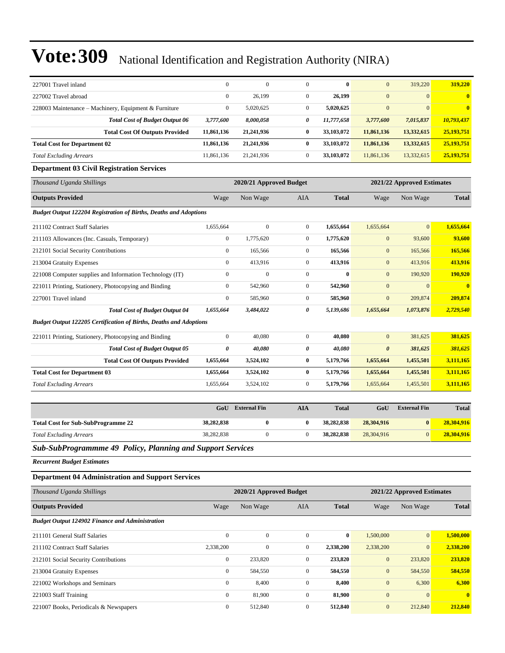| 227001 Travel inland                                                     | $\mathbf{0}$     | $\mathbf{0}$            | $\mathbf{0}$     | $\bf{0}$     | $\mathbf{0}$          | 319,220                    | 319,220      |  |  |  |
|--------------------------------------------------------------------------|------------------|-------------------------|------------------|--------------|-----------------------|----------------------------|--------------|--|--|--|
| 227002 Travel abroad                                                     | $\mathbf{0}$     | 26,199                  | $\mathbf{0}$     | 26,199       | $\mathbf{0}$          | $\mathbf{0}$               |              |  |  |  |
| 228003 Maintenance – Machinery, Equipment & Furniture                    | $\boldsymbol{0}$ | 5,020,625               | $\mathbf{0}$     | 5,020,625    | $\mathbf{0}$          | $\mathbf{0}$               |              |  |  |  |
| <b>Total Cost of Budget Output 06</b>                                    | 3,777,600        | 8,000,058               | 0                | 11,777,658   | 3,777,600             | 7,015,837                  | 10,793,437   |  |  |  |
| <b>Total Cost Of Outputs Provided</b>                                    | 11,861,136       | 21,241,936              | $\bf{0}$         | 33,103,072   | 11,861,136            | 13,332,615                 | 25,193,751   |  |  |  |
| <b>Total Cost for Department 02</b>                                      | 11,861,136       | 21,241,936              | $\bf{0}$         | 33,103,072   | 11,861,136            | 13,332,615                 | 25,193,751   |  |  |  |
| <b>Total Excluding Arrears</b>                                           | 11,861,136       | 21,241,936              | $\mathbf{0}$     | 33,103,072   | 11,861,136            | 13,332,615                 | 25,193,751   |  |  |  |
| <b>Department 03 Civil Registration Services</b>                         |                  |                         |                  |              |                       |                            |              |  |  |  |
| Thousand Uganda Shillings                                                |                  | 2020/21 Approved Budget |                  |              |                       | 2021/22 Approved Estimates |              |  |  |  |
| <b>Outputs Provided</b>                                                  | Wage             | Non Wage                | AIA              | <b>Total</b> | Wage                  | Non Wage                   | <b>Total</b> |  |  |  |
| <b>Budget Output 122204 Registration of Births, Deaths and Adoptions</b> |                  |                         |                  |              |                       |                            |              |  |  |  |
| 211102 Contract Staff Salaries                                           | 1,655,664        | $\boldsymbol{0}$        | $\mathbf{0}$     | 1,655,664    | 1,655,664             | $\mathbf{0}$               | 1,655,664    |  |  |  |
| 211103 Allowances (Inc. Casuals, Temporary)                              | $\boldsymbol{0}$ | 1,775,620               | $\mathbf{0}$     | 1,775,620    | $\mathbf{0}$          | 93,600                     | 93,600       |  |  |  |
| 212101 Social Security Contributions                                     | $\boldsymbol{0}$ | 165,566                 | $\mathbf{0}$     | 165,566      | $\mathbf{0}$          | 165,566                    | 165,566      |  |  |  |
| 213004 Gratuity Expenses                                                 | $\mathbf{0}$     | 413,916                 | $\mathbf{0}$     | 413,916      | $\mathbf{0}$          | 413,916                    | 413,916      |  |  |  |
| 221008 Computer supplies and Information Technology (IT)                 | $\boldsymbol{0}$ | $\mathbf{0}$            | $\mathbf{0}$     | $\bf{0}$     | $\mathbf{0}$          | 190,920                    | 190,920      |  |  |  |
| 221011 Printing, Stationery, Photocopying and Binding                    | $\boldsymbol{0}$ | 542,960                 | $\mathbf{0}$     | 542,960      | $\boldsymbol{0}$      | $\mathbf{0}$               | $\bf{0}$     |  |  |  |
| 227001 Travel inland                                                     | $\boldsymbol{0}$ | 585,960                 | $\mathbf{0}$     | 585,960      | $\mathbf{0}$          | 209,874                    | 209,874      |  |  |  |
| <b>Total Cost of Budget Output 04</b>                                    | 1,655,664        | 3,484,022               | 0                | 5,139,686    | 1,655,664             | 1,073,876                  | 2,729,540    |  |  |  |
| Budget Output 122205 Certification of Births, Deaths and Adoptions       |                  |                         |                  |              |                       |                            |              |  |  |  |
| 221011 Printing, Stationery, Photocopying and Binding                    | $\boldsymbol{0}$ | 40,080                  | $\mathbf{0}$     | 40,080       | $\mathbf{0}$          | 381,625                    | 381,625      |  |  |  |
| <b>Total Cost of Budget Output 05</b>                                    | 0                | 40,080                  | 0                | 40,080       | $\boldsymbol{\theta}$ | 381,625                    | 381,625      |  |  |  |
| <b>Total Cost Of Outputs Provided</b>                                    | 1,655,664        | 3,524,102               | $\bf{0}$         | 5,179,766    | 1,655,664             | 1,455,501                  | 3,111,165    |  |  |  |
| <b>Total Cost for Department 03</b>                                      | 1,655,664        | 3,524,102               | $\bf{0}$         | 5,179,766    | 1,655,664             | 1,455,501                  | 3,111,165    |  |  |  |
| <b>Total Excluding Arrears</b>                                           | 1,655,664        | 3,524,102               | $\mathbf{0}$     | 5,179,766    | 1,655,664             | 1,455,501                  | 3,111,165    |  |  |  |
|                                                                          |                  |                         |                  |              |                       |                            |              |  |  |  |
|                                                                          | GoU              | <b>External Fin</b>     | <b>AIA</b>       | <b>Total</b> | GoU                   | <b>External Fin</b>        | <b>Total</b> |  |  |  |
| <b>Total Cost for Sub-SubProgramme 22</b>                                | 38,282,838       | $\bf{0}$                | $\bf{0}$         | 38,282,838   | 28,304,916            | $\bf{0}$                   | 28,304,916   |  |  |  |
| <b>Total Excluding Arrears</b>                                           | 38,282,838       | $\mathbf{0}$            | $\mathbf{0}$     | 38,282,838   | 28,304,916            | $\boldsymbol{0}$           | 28,304,916   |  |  |  |
| Sub-SubProgrammme 49 Policy, Planning and Support Services               |                  |                         |                  |              |                       |                            |              |  |  |  |
| <b>Recurrent Budget Estimates</b>                                        |                  |                         |                  |              |                       |                            |              |  |  |  |
| <b>Department 04 Administration and Support Services</b>                 |                  |                         |                  |              |                       |                            |              |  |  |  |
| Thousand Uganda Shillings                                                |                  | 2020/21 Approved Budget |                  |              |                       | 2021/22 Approved Estimates |              |  |  |  |
| <b>Outputs Provided</b>                                                  | Wage             | Non Wage                | AIA              | <b>Total</b> | Wage                  | Non Wage                   | <b>Total</b> |  |  |  |
| <b>Budget Output 124902 Finance and Administration</b>                   |                  |                         |                  |              |                       |                            |              |  |  |  |
| 211101 General Staff Salaries                                            | $\boldsymbol{0}$ | $\boldsymbol{0}$        | $\mathbf{0}$     | $\bf{0}$     | 1,500,000             | $\mathbf{0}$               | 1,500,000    |  |  |  |
| 211102 Contract Staff Salaries                                           | 2,338,200        | $\boldsymbol{0}$        | $\boldsymbol{0}$ | 2,338,200    | 2,338,200             | $\mathbf{0}$               | 2,338,200    |  |  |  |
| 212101 Social Security Contributions                                     | $\boldsymbol{0}$ | 233,820                 | $\boldsymbol{0}$ | 233,820      | $\boldsymbol{0}$      | 233,820                    | 233,820      |  |  |  |
| 213004 Gratuity Expenses                                                 | $\boldsymbol{0}$ | 584,550                 | $\boldsymbol{0}$ | 584,550      | $\boldsymbol{0}$      | 584,550                    | 584,550      |  |  |  |
| 221002 Workshops and Seminars                                            | $\boldsymbol{0}$ | 8,400                   | $\boldsymbol{0}$ | 8,400        | $\mathbf{0}$          | 6,300                      | 6,300        |  |  |  |
| 221003 Staff Training                                                    | $\boldsymbol{0}$ | 81,900                  | $\boldsymbol{0}$ | 81,900       | $\boldsymbol{0}$      | $\mathbf{0}$               |              |  |  |  |
| 221007 Books, Periodicals & Newspapers                                   | $\mathbf{0}$     | 512,840                 | $\boldsymbol{0}$ | 512,840      | $\boldsymbol{0}$      | 212,840                    | 212,840      |  |  |  |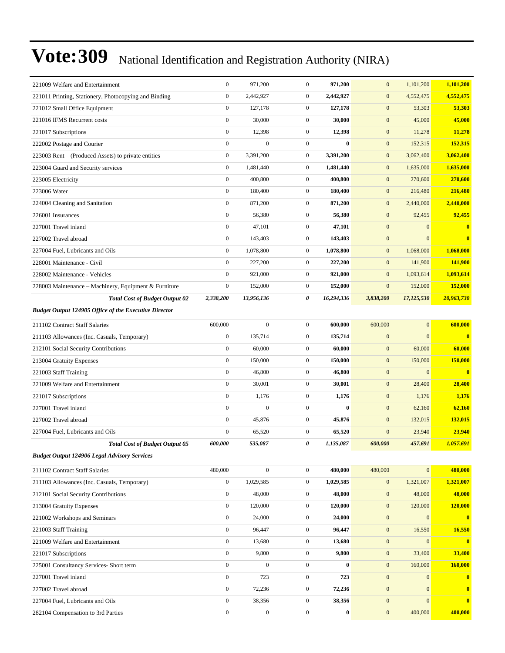| $\boldsymbol{0}$<br>4,552,475<br>221011 Printing, Stationery, Photocopying and Binding<br>2,442,927<br>$\boldsymbol{0}$<br>2,442,927<br>$\mathbf{0}$<br>4,552,475<br>$\boldsymbol{0}$<br>$\mathbf{0}$<br>$\mathbf{0}$<br>221012 Small Office Equipment<br>127,178<br>127,178<br>53,303<br>53,303<br>$\boldsymbol{0}$<br>30,000<br>$\mathbf{0}$<br>30,000<br>$\mathbf{0}$<br>45,000<br>45,000<br>221016 IFMS Recurrent costs<br>$\boldsymbol{0}$<br>$\overline{0}$<br>12,398<br>12,398<br>$\mathbf{0}$<br>11,278<br>11,278<br>221017 Subscriptions<br>$\boldsymbol{0}$<br>$\mathbf{0}$<br>$\overline{0}$<br>$\boldsymbol{0}$<br>$\bf{0}$<br>152,315<br>152,315<br>222002 Postage and Courier<br>$\boldsymbol{0}$<br>3,062,400<br>223003 Rent - (Produced Assets) to private entities<br>3,391,200<br>$\mathbf{0}$<br>3,391,200<br>$\mathbf{0}$<br>3,062,400<br>$\boldsymbol{0}$<br>1,481,440<br>$\mathbf{0}$<br>$\mathbf{0}$<br>1,635,000<br>223004 Guard and Security services<br>1,481,440<br>1,635,000<br>$\boldsymbol{0}$<br>270,600<br>400,800<br>$\mathbf{0}$<br>400,800<br>$\mathbf{0}$<br>270,600<br>223005 Electricity<br>$\boldsymbol{0}$<br>$\overline{0}$<br>223006 Water<br>180,400<br>180,400<br>$\mathbf{0}$<br>216,480<br>216,480<br>$\boldsymbol{0}$<br>$\overline{0}$<br>2,440,000<br>224004 Cleaning and Sanitation<br>871,200<br>871,200<br>$\mathbf{0}$<br>2,440,000<br>$\boldsymbol{0}$<br>92,455<br>92,455<br>226001 Insurances<br>56,380<br>$\mathbf{0}$<br>56,380<br>$\mathbf{0}$<br>$\boldsymbol{0}$<br>47,101<br>$\mathbf{0}$<br>47,101<br>$\mathbf{0}$<br>$\mathbf{0}$<br>$\bf{0}$<br>227001 Travel inland<br>$\boldsymbol{0}$<br>143,403<br>$\mathbf{0}$<br>143,403<br>$\mathbf{0}$<br>$\mathbf{0}$<br>$\overline{\mathbf{0}}$<br>227002 Travel abroad<br>$\boldsymbol{0}$<br>1,078,800<br>$\mathbf{0}$<br>1,078,800<br>$\mathbf{0}$<br>1,068,000<br>1,068,000<br>227004 Fuel. Lubricants and Oils<br>$\boldsymbol{0}$<br>$\mathbf{0}$<br>227,200<br>227,200<br>$\mathbf{0}$<br>141,900<br>141,900<br>228001 Maintenance - Civil<br>$\boldsymbol{0}$<br>1,093,614<br>228002 Maintenance - Vehicles<br>921,000<br>$\mathbf{0}$<br>921,000<br>$\mathbf{0}$<br>1,093,614<br>$\boldsymbol{0}$<br>152,000<br>$\mathbf{0}$<br>152,000<br>$\mathbf{0}$<br>152,000<br>152,000<br>228003 Maintenance – Machinery, Equipment & Furniture<br>20,963,730<br>2,338,200<br>13,956,136<br>0<br>16,294,336<br>3,838,200<br>17,125,530<br><b>Total Cost of Budget Output 02</b><br><b>Budget Output 124905 Office of the Executive Director</b><br>600,000<br>$\boldsymbol{0}$<br>$\boldsymbol{0}$<br>$\mathbf{0}$<br>600,000<br>211102 Contract Staff Salaries<br>600,000<br>600,000<br>$\boldsymbol{0}$<br>$\mathbf{0}$<br>$\boldsymbol{0}$<br>$\mathbf{0}$<br>$\bf{0}$<br>135,714<br>135,714<br>211103 Allowances (Inc. Casuals, Temporary)<br>$\boldsymbol{0}$<br>212101 Social Security Contributions<br>60,000<br>$\mathbf{0}$<br>60,000<br>$\mathbf{0}$<br>60,000<br>60,000<br>$\boldsymbol{0}$<br>$\overline{0}$<br>150,000<br>150,000<br>$\mathbf{0}$<br>150,000<br>213004 Gratuity Expenses<br><b>150,000</b><br>$\boldsymbol{0}$<br>46,800<br>$\mathbf{0}$<br>46,800<br>$\mathbf{0}$<br>$\mathbf{0}$<br>$\overline{\mathbf{0}}$<br>221003 Staff Training<br>$\boldsymbol{0}$<br>221009 Welfare and Entertainment<br>30,001<br>$\boldsymbol{0}$<br>30,001<br>$\mathbf{0}$<br>28,400<br>28,400<br>$\boldsymbol{0}$<br>$\boldsymbol{0}$<br>$\boldsymbol{0}$<br>1,176<br>1,176<br>1,176<br>1,176<br>221017 Subscriptions<br>$\boldsymbol{0}$<br>$\mathbf{0}$<br>$\overline{0}$<br>227001 Travel inland<br>$\bf{0}$<br>$\mathbf{0}$<br>62,160<br>62,160<br>$\boldsymbol{0}$<br>45,876<br>$\mathbf{0}$<br>45,876<br>$\mathbf{0}$<br>132,015<br>227002 Travel abroad<br>132,015<br>$\boldsymbol{0}$<br>23,940<br>65,520<br>$\mathbf{0}$<br>65,520<br>$\mathbf{0}$<br>23,940<br>227004 Fuel, Lubricants and Oils<br>1,057,691<br>600,000<br>535,087<br>0<br>1,135,087<br>600,000<br>457,691<br><b>Total Cost of Budget Output 05</b><br><b>Budget Output 124906 Legal Advisory Services</b><br>$\vert 0 \vert$<br>480,000<br>$\boldsymbol{0}$<br>$\mathbf{0}$<br>480,000<br>480,000<br>211102 Contract Staff Salaries<br>480,000<br>$\boldsymbol{0}$<br>1,029,585<br>$\boldsymbol{0}$<br>1,321,007<br>1,321,007<br>211103 Allowances (Inc. Casuals, Temporary)<br>1,029,585<br>$\boldsymbol{0}$<br>$\boldsymbol{0}$<br>$\boldsymbol{0}$<br>$\boldsymbol{0}$<br>48,000<br>48,000<br>48,000<br>48,000<br>212101 Social Security Contributions<br>$\boldsymbol{0}$<br>120,000<br>120,000<br>$\overline{0}$<br>120,000<br>$\boldsymbol{0}$<br>120,000<br>213004 Gratuity Expenses<br>$\boldsymbol{0}$<br>$\overline{0}$<br>$\mathbf{0}$<br>$\mathbf{0}$<br>221002 Workshops and Seminars<br>24,000<br>24,000<br>$\mathbf{0}$<br>$\boldsymbol{0}$<br>$\mathbf{0}$<br>16,550<br>16,550<br>96,447<br>96,447<br>$\boldsymbol{0}$<br>221003 Staff Training<br>$\boldsymbol{0}$<br>$\boldsymbol{0}$<br>$\boldsymbol{0}$<br>$\mathbf{0}$<br>$\bf{0}$<br>221009 Welfare and Entertainment<br>13,680<br>13,680<br>$\boldsymbol{0}$<br>9,800<br>$\boldsymbol{0}$<br>$\boldsymbol{0}$<br>9,800<br>33,400<br>33,400<br>221017 Subscriptions<br>$\boldsymbol{0}$<br>$\boldsymbol{0}$<br>$\overline{0}$<br>$\boldsymbol{0}$<br>160,000<br>160,000<br>$\bf{0}$<br>225001 Consultancy Services- Short term<br>$\boldsymbol{0}$<br>723<br>$\boldsymbol{0}$<br>$\mathbf{0}$<br>227001 Travel inland<br>723<br>$\mathbf{0}$<br>$\bf{0}$<br>$\boldsymbol{0}$<br>$\boldsymbol{0}$<br>$\boldsymbol{0}$<br>$\boldsymbol{0}$<br>72,236<br>72,236<br>227002 Travel abroad<br>$\boldsymbol{0}$<br>$\boldsymbol{0}$<br>38,356<br>$\boldsymbol{0}$<br>$\mathbf{0}$<br>$\bf{0}$<br>227004 Fuel, Lubricants and Oils<br>38,356<br>$\boldsymbol{0}$<br>$\boldsymbol{0}$<br>$\boldsymbol{0}$<br>$\bf{0}$<br>$\boldsymbol{0}$<br>400,000<br>282104 Compensation to 3rd Parties<br>400,000 | 221009 Welfare and Entertainment | $\boldsymbol{0}$ | 971,200 | $\boldsymbol{0}$ | 971,200 | $\mathbf{0}$ | 1,101,200 | 1,101,200               |
|--------------------------------------------------------------------------------------------------------------------------------------------------------------------------------------------------------------------------------------------------------------------------------------------------------------------------------------------------------------------------------------------------------------------------------------------------------------------------------------------------------------------------------------------------------------------------------------------------------------------------------------------------------------------------------------------------------------------------------------------------------------------------------------------------------------------------------------------------------------------------------------------------------------------------------------------------------------------------------------------------------------------------------------------------------------------------------------------------------------------------------------------------------------------------------------------------------------------------------------------------------------------------------------------------------------------------------------------------------------------------------------------------------------------------------------------------------------------------------------------------------------------------------------------------------------------------------------------------------------------------------------------------------------------------------------------------------------------------------------------------------------------------------------------------------------------------------------------------------------------------------------------------------------------------------------------------------------------------------------------------------------------------------------------------------------------------------------------------------------------------------------------------------------------------------------------------------------------------------------------------------------------------------------------------------------------------------------------------------------------------------------------------------------------------------------------------------------------------------------------------------------------------------------------------------------------------------------------------------------------------------------------------------------------------------------------------------------------------------------------------------------------------------------------------------------------------------------------------------------------------------------------------------------------------------------------------------------------------------------------------------------------------------------------------------------------------------------------------------------------------------------------------------------------------------------------------------------------------------------------------------------------------------------------------------------------------------------------------------------------------------------------------------------------------------------------------------------------------------------------------------------------------------------------------------------------------------------------------------------------------------------------------------------------------------------------------------------------------------------------------------------------------------------------------------------------------------------------------------------------------------------------------------------------------------------------------------------------------------------------------------------------------------------------------------------------------------------------------------------------------------------------------------------------------------------------------------------------------------------------------------------------------------------------------------------------------------------------------------------------------------------------------------------------------------------------------------------------------------------------------------------------------------------------------------------------------------------------------------------------------------------------------------------------------------------------------------------------------------------------------------------------------------------------------------------------------------------------------------------------------------------------------------------------------------------------------------------------------------------------------------------------------------------------------------------------------------------------------------------------------------------------------------------------------------------------------------------------------------------------------------------------------------------------------------------------------------------------------------------------------------------------------------------------------------------------------------------------------------------------------------------------------------------------------------------------------------------------------------------------------------------------------------------------------------------------------------------------------------------------------------------------------------------------------------------------------------------------------------------------------------------------------------------------------------------------------------------------|----------------------------------|------------------|---------|------------------|---------|--------------|-----------|-------------------------|
|                                                                                                                                                                                                                                                                                                                                                                                                                                                                                                                                                                                                                                                                                                                                                                                                                                                                                                                                                                                                                                                                                                                                                                                                                                                                                                                                                                                                                                                                                                                                                                                                                                                                                                                                                                                                                                                                                                                                                                                                                                                                                                                                                                                                                                                                                                                                                                                                                                                                                                                                                                                                                                                                                                                                                                                                                                                                                                                                                                                                                                                                                                                                                                                                                                                                                                                                                                                                                                                                                                                                                                                                                                                                                                                                                                                                                                                                                                                                                                                                                                                                                                                                                                                                                                                                                                                                                                                                                                                                                                                                                                                                                                                                                                                                                                                                                                                                                                                                                                                                                                                                                                                                                                                                                                                                                                                                                                                                                                                                                                                                                                                                                                                                                                                                                                                                                                                                                                                                                                    |                                  |                  |         |                  |         |              |           |                         |
|                                                                                                                                                                                                                                                                                                                                                                                                                                                                                                                                                                                                                                                                                                                                                                                                                                                                                                                                                                                                                                                                                                                                                                                                                                                                                                                                                                                                                                                                                                                                                                                                                                                                                                                                                                                                                                                                                                                                                                                                                                                                                                                                                                                                                                                                                                                                                                                                                                                                                                                                                                                                                                                                                                                                                                                                                                                                                                                                                                                                                                                                                                                                                                                                                                                                                                                                                                                                                                                                                                                                                                                                                                                                                                                                                                                                                                                                                                                                                                                                                                                                                                                                                                                                                                                                                                                                                                                                                                                                                                                                                                                                                                                                                                                                                                                                                                                                                                                                                                                                                                                                                                                                                                                                                                                                                                                                                                                                                                                                                                                                                                                                                                                                                                                                                                                                                                                                                                                                                                    |                                  |                  |         |                  |         |              |           |                         |
|                                                                                                                                                                                                                                                                                                                                                                                                                                                                                                                                                                                                                                                                                                                                                                                                                                                                                                                                                                                                                                                                                                                                                                                                                                                                                                                                                                                                                                                                                                                                                                                                                                                                                                                                                                                                                                                                                                                                                                                                                                                                                                                                                                                                                                                                                                                                                                                                                                                                                                                                                                                                                                                                                                                                                                                                                                                                                                                                                                                                                                                                                                                                                                                                                                                                                                                                                                                                                                                                                                                                                                                                                                                                                                                                                                                                                                                                                                                                                                                                                                                                                                                                                                                                                                                                                                                                                                                                                                                                                                                                                                                                                                                                                                                                                                                                                                                                                                                                                                                                                                                                                                                                                                                                                                                                                                                                                                                                                                                                                                                                                                                                                                                                                                                                                                                                                                                                                                                                                                    |                                  |                  |         |                  |         |              |           |                         |
|                                                                                                                                                                                                                                                                                                                                                                                                                                                                                                                                                                                                                                                                                                                                                                                                                                                                                                                                                                                                                                                                                                                                                                                                                                                                                                                                                                                                                                                                                                                                                                                                                                                                                                                                                                                                                                                                                                                                                                                                                                                                                                                                                                                                                                                                                                                                                                                                                                                                                                                                                                                                                                                                                                                                                                                                                                                                                                                                                                                                                                                                                                                                                                                                                                                                                                                                                                                                                                                                                                                                                                                                                                                                                                                                                                                                                                                                                                                                                                                                                                                                                                                                                                                                                                                                                                                                                                                                                                                                                                                                                                                                                                                                                                                                                                                                                                                                                                                                                                                                                                                                                                                                                                                                                                                                                                                                                                                                                                                                                                                                                                                                                                                                                                                                                                                                                                                                                                                                                                    |                                  |                  |         |                  |         |              |           |                         |
|                                                                                                                                                                                                                                                                                                                                                                                                                                                                                                                                                                                                                                                                                                                                                                                                                                                                                                                                                                                                                                                                                                                                                                                                                                                                                                                                                                                                                                                                                                                                                                                                                                                                                                                                                                                                                                                                                                                                                                                                                                                                                                                                                                                                                                                                                                                                                                                                                                                                                                                                                                                                                                                                                                                                                                                                                                                                                                                                                                                                                                                                                                                                                                                                                                                                                                                                                                                                                                                                                                                                                                                                                                                                                                                                                                                                                                                                                                                                                                                                                                                                                                                                                                                                                                                                                                                                                                                                                                                                                                                                                                                                                                                                                                                                                                                                                                                                                                                                                                                                                                                                                                                                                                                                                                                                                                                                                                                                                                                                                                                                                                                                                                                                                                                                                                                                                                                                                                                                                                    |                                  |                  |         |                  |         |              |           |                         |
|                                                                                                                                                                                                                                                                                                                                                                                                                                                                                                                                                                                                                                                                                                                                                                                                                                                                                                                                                                                                                                                                                                                                                                                                                                                                                                                                                                                                                                                                                                                                                                                                                                                                                                                                                                                                                                                                                                                                                                                                                                                                                                                                                                                                                                                                                                                                                                                                                                                                                                                                                                                                                                                                                                                                                                                                                                                                                                                                                                                                                                                                                                                                                                                                                                                                                                                                                                                                                                                                                                                                                                                                                                                                                                                                                                                                                                                                                                                                                                                                                                                                                                                                                                                                                                                                                                                                                                                                                                                                                                                                                                                                                                                                                                                                                                                                                                                                                                                                                                                                                                                                                                                                                                                                                                                                                                                                                                                                                                                                                                                                                                                                                                                                                                                                                                                                                                                                                                                                                                    |                                  |                  |         |                  |         |              |           |                         |
|                                                                                                                                                                                                                                                                                                                                                                                                                                                                                                                                                                                                                                                                                                                                                                                                                                                                                                                                                                                                                                                                                                                                                                                                                                                                                                                                                                                                                                                                                                                                                                                                                                                                                                                                                                                                                                                                                                                                                                                                                                                                                                                                                                                                                                                                                                                                                                                                                                                                                                                                                                                                                                                                                                                                                                                                                                                                                                                                                                                                                                                                                                                                                                                                                                                                                                                                                                                                                                                                                                                                                                                                                                                                                                                                                                                                                                                                                                                                                                                                                                                                                                                                                                                                                                                                                                                                                                                                                                                                                                                                                                                                                                                                                                                                                                                                                                                                                                                                                                                                                                                                                                                                                                                                                                                                                                                                                                                                                                                                                                                                                                                                                                                                                                                                                                                                                                                                                                                                                                    |                                  |                  |         |                  |         |              |           |                         |
|                                                                                                                                                                                                                                                                                                                                                                                                                                                                                                                                                                                                                                                                                                                                                                                                                                                                                                                                                                                                                                                                                                                                                                                                                                                                                                                                                                                                                                                                                                                                                                                                                                                                                                                                                                                                                                                                                                                                                                                                                                                                                                                                                                                                                                                                                                                                                                                                                                                                                                                                                                                                                                                                                                                                                                                                                                                                                                                                                                                                                                                                                                                                                                                                                                                                                                                                                                                                                                                                                                                                                                                                                                                                                                                                                                                                                                                                                                                                                                                                                                                                                                                                                                                                                                                                                                                                                                                                                                                                                                                                                                                                                                                                                                                                                                                                                                                                                                                                                                                                                                                                                                                                                                                                                                                                                                                                                                                                                                                                                                                                                                                                                                                                                                                                                                                                                                                                                                                                                                    |                                  |                  |         |                  |         |              |           |                         |
|                                                                                                                                                                                                                                                                                                                                                                                                                                                                                                                                                                                                                                                                                                                                                                                                                                                                                                                                                                                                                                                                                                                                                                                                                                                                                                                                                                                                                                                                                                                                                                                                                                                                                                                                                                                                                                                                                                                                                                                                                                                                                                                                                                                                                                                                                                                                                                                                                                                                                                                                                                                                                                                                                                                                                                                                                                                                                                                                                                                                                                                                                                                                                                                                                                                                                                                                                                                                                                                                                                                                                                                                                                                                                                                                                                                                                                                                                                                                                                                                                                                                                                                                                                                                                                                                                                                                                                                                                                                                                                                                                                                                                                                                                                                                                                                                                                                                                                                                                                                                                                                                                                                                                                                                                                                                                                                                                                                                                                                                                                                                                                                                                                                                                                                                                                                                                                                                                                                                                                    |                                  |                  |         |                  |         |              |           |                         |
|                                                                                                                                                                                                                                                                                                                                                                                                                                                                                                                                                                                                                                                                                                                                                                                                                                                                                                                                                                                                                                                                                                                                                                                                                                                                                                                                                                                                                                                                                                                                                                                                                                                                                                                                                                                                                                                                                                                                                                                                                                                                                                                                                                                                                                                                                                                                                                                                                                                                                                                                                                                                                                                                                                                                                                                                                                                                                                                                                                                                                                                                                                                                                                                                                                                                                                                                                                                                                                                                                                                                                                                                                                                                                                                                                                                                                                                                                                                                                                                                                                                                                                                                                                                                                                                                                                                                                                                                                                                                                                                                                                                                                                                                                                                                                                                                                                                                                                                                                                                                                                                                                                                                                                                                                                                                                                                                                                                                                                                                                                                                                                                                                                                                                                                                                                                                                                                                                                                                                                    |                                  |                  |         |                  |         |              |           |                         |
|                                                                                                                                                                                                                                                                                                                                                                                                                                                                                                                                                                                                                                                                                                                                                                                                                                                                                                                                                                                                                                                                                                                                                                                                                                                                                                                                                                                                                                                                                                                                                                                                                                                                                                                                                                                                                                                                                                                                                                                                                                                                                                                                                                                                                                                                                                                                                                                                                                                                                                                                                                                                                                                                                                                                                                                                                                                                                                                                                                                                                                                                                                                                                                                                                                                                                                                                                                                                                                                                                                                                                                                                                                                                                                                                                                                                                                                                                                                                                                                                                                                                                                                                                                                                                                                                                                                                                                                                                                                                                                                                                                                                                                                                                                                                                                                                                                                                                                                                                                                                                                                                                                                                                                                                                                                                                                                                                                                                                                                                                                                                                                                                                                                                                                                                                                                                                                                                                                                                                                    |                                  |                  |         |                  |         |              |           |                         |
|                                                                                                                                                                                                                                                                                                                                                                                                                                                                                                                                                                                                                                                                                                                                                                                                                                                                                                                                                                                                                                                                                                                                                                                                                                                                                                                                                                                                                                                                                                                                                                                                                                                                                                                                                                                                                                                                                                                                                                                                                                                                                                                                                                                                                                                                                                                                                                                                                                                                                                                                                                                                                                                                                                                                                                                                                                                                                                                                                                                                                                                                                                                                                                                                                                                                                                                                                                                                                                                                                                                                                                                                                                                                                                                                                                                                                                                                                                                                                                                                                                                                                                                                                                                                                                                                                                                                                                                                                                                                                                                                                                                                                                                                                                                                                                                                                                                                                                                                                                                                                                                                                                                                                                                                                                                                                                                                                                                                                                                                                                                                                                                                                                                                                                                                                                                                                                                                                                                                                                    |                                  |                  |         |                  |         |              |           |                         |
|                                                                                                                                                                                                                                                                                                                                                                                                                                                                                                                                                                                                                                                                                                                                                                                                                                                                                                                                                                                                                                                                                                                                                                                                                                                                                                                                                                                                                                                                                                                                                                                                                                                                                                                                                                                                                                                                                                                                                                                                                                                                                                                                                                                                                                                                                                                                                                                                                                                                                                                                                                                                                                                                                                                                                                                                                                                                                                                                                                                                                                                                                                                                                                                                                                                                                                                                                                                                                                                                                                                                                                                                                                                                                                                                                                                                                                                                                                                                                                                                                                                                                                                                                                                                                                                                                                                                                                                                                                                                                                                                                                                                                                                                                                                                                                                                                                                                                                                                                                                                                                                                                                                                                                                                                                                                                                                                                                                                                                                                                                                                                                                                                                                                                                                                                                                                                                                                                                                                                                    |                                  |                  |         |                  |         |              |           |                         |
|                                                                                                                                                                                                                                                                                                                                                                                                                                                                                                                                                                                                                                                                                                                                                                                                                                                                                                                                                                                                                                                                                                                                                                                                                                                                                                                                                                                                                                                                                                                                                                                                                                                                                                                                                                                                                                                                                                                                                                                                                                                                                                                                                                                                                                                                                                                                                                                                                                                                                                                                                                                                                                                                                                                                                                                                                                                                                                                                                                                                                                                                                                                                                                                                                                                                                                                                                                                                                                                                                                                                                                                                                                                                                                                                                                                                                                                                                                                                                                                                                                                                                                                                                                                                                                                                                                                                                                                                                                                                                                                                                                                                                                                                                                                                                                                                                                                                                                                                                                                                                                                                                                                                                                                                                                                                                                                                                                                                                                                                                                                                                                                                                                                                                                                                                                                                                                                                                                                                                                    |                                  |                  |         |                  |         |              |           |                         |
|                                                                                                                                                                                                                                                                                                                                                                                                                                                                                                                                                                                                                                                                                                                                                                                                                                                                                                                                                                                                                                                                                                                                                                                                                                                                                                                                                                                                                                                                                                                                                                                                                                                                                                                                                                                                                                                                                                                                                                                                                                                                                                                                                                                                                                                                                                                                                                                                                                                                                                                                                                                                                                                                                                                                                                                                                                                                                                                                                                                                                                                                                                                                                                                                                                                                                                                                                                                                                                                                                                                                                                                                                                                                                                                                                                                                                                                                                                                                                                                                                                                                                                                                                                                                                                                                                                                                                                                                                                                                                                                                                                                                                                                                                                                                                                                                                                                                                                                                                                                                                                                                                                                                                                                                                                                                                                                                                                                                                                                                                                                                                                                                                                                                                                                                                                                                                                                                                                                                                                    |                                  |                  |         |                  |         |              |           |                         |
|                                                                                                                                                                                                                                                                                                                                                                                                                                                                                                                                                                                                                                                                                                                                                                                                                                                                                                                                                                                                                                                                                                                                                                                                                                                                                                                                                                                                                                                                                                                                                                                                                                                                                                                                                                                                                                                                                                                                                                                                                                                                                                                                                                                                                                                                                                                                                                                                                                                                                                                                                                                                                                                                                                                                                                                                                                                                                                                                                                                                                                                                                                                                                                                                                                                                                                                                                                                                                                                                                                                                                                                                                                                                                                                                                                                                                                                                                                                                                                                                                                                                                                                                                                                                                                                                                                                                                                                                                                                                                                                                                                                                                                                                                                                                                                                                                                                                                                                                                                                                                                                                                                                                                                                                                                                                                                                                                                                                                                                                                                                                                                                                                                                                                                                                                                                                                                                                                                                                                                    |                                  |                  |         |                  |         |              |           |                         |
|                                                                                                                                                                                                                                                                                                                                                                                                                                                                                                                                                                                                                                                                                                                                                                                                                                                                                                                                                                                                                                                                                                                                                                                                                                                                                                                                                                                                                                                                                                                                                                                                                                                                                                                                                                                                                                                                                                                                                                                                                                                                                                                                                                                                                                                                                                                                                                                                                                                                                                                                                                                                                                                                                                                                                                                                                                                                                                                                                                                                                                                                                                                                                                                                                                                                                                                                                                                                                                                                                                                                                                                                                                                                                                                                                                                                                                                                                                                                                                                                                                                                                                                                                                                                                                                                                                                                                                                                                                                                                                                                                                                                                                                                                                                                                                                                                                                                                                                                                                                                                                                                                                                                                                                                                                                                                                                                                                                                                                                                                                                                                                                                                                                                                                                                                                                                                                                                                                                                                                    |                                  |                  |         |                  |         |              |           |                         |
|                                                                                                                                                                                                                                                                                                                                                                                                                                                                                                                                                                                                                                                                                                                                                                                                                                                                                                                                                                                                                                                                                                                                                                                                                                                                                                                                                                                                                                                                                                                                                                                                                                                                                                                                                                                                                                                                                                                                                                                                                                                                                                                                                                                                                                                                                                                                                                                                                                                                                                                                                                                                                                                                                                                                                                                                                                                                                                                                                                                                                                                                                                                                                                                                                                                                                                                                                                                                                                                                                                                                                                                                                                                                                                                                                                                                                                                                                                                                                                                                                                                                                                                                                                                                                                                                                                                                                                                                                                                                                                                                                                                                                                                                                                                                                                                                                                                                                                                                                                                                                                                                                                                                                                                                                                                                                                                                                                                                                                                                                                                                                                                                                                                                                                                                                                                                                                                                                                                                                                    |                                  |                  |         |                  |         |              |           |                         |
|                                                                                                                                                                                                                                                                                                                                                                                                                                                                                                                                                                                                                                                                                                                                                                                                                                                                                                                                                                                                                                                                                                                                                                                                                                                                                                                                                                                                                                                                                                                                                                                                                                                                                                                                                                                                                                                                                                                                                                                                                                                                                                                                                                                                                                                                                                                                                                                                                                                                                                                                                                                                                                                                                                                                                                                                                                                                                                                                                                                                                                                                                                                                                                                                                                                                                                                                                                                                                                                                                                                                                                                                                                                                                                                                                                                                                                                                                                                                                                                                                                                                                                                                                                                                                                                                                                                                                                                                                                                                                                                                                                                                                                                                                                                                                                                                                                                                                                                                                                                                                                                                                                                                                                                                                                                                                                                                                                                                                                                                                                                                                                                                                                                                                                                                                                                                                                                                                                                                                                    |                                  |                  |         |                  |         |              |           |                         |
|                                                                                                                                                                                                                                                                                                                                                                                                                                                                                                                                                                                                                                                                                                                                                                                                                                                                                                                                                                                                                                                                                                                                                                                                                                                                                                                                                                                                                                                                                                                                                                                                                                                                                                                                                                                                                                                                                                                                                                                                                                                                                                                                                                                                                                                                                                                                                                                                                                                                                                                                                                                                                                                                                                                                                                                                                                                                                                                                                                                                                                                                                                                                                                                                                                                                                                                                                                                                                                                                                                                                                                                                                                                                                                                                                                                                                                                                                                                                                                                                                                                                                                                                                                                                                                                                                                                                                                                                                                                                                                                                                                                                                                                                                                                                                                                                                                                                                                                                                                                                                                                                                                                                                                                                                                                                                                                                                                                                                                                                                                                                                                                                                                                                                                                                                                                                                                                                                                                                                                    |                                  |                  |         |                  |         |              |           |                         |
|                                                                                                                                                                                                                                                                                                                                                                                                                                                                                                                                                                                                                                                                                                                                                                                                                                                                                                                                                                                                                                                                                                                                                                                                                                                                                                                                                                                                                                                                                                                                                                                                                                                                                                                                                                                                                                                                                                                                                                                                                                                                                                                                                                                                                                                                                                                                                                                                                                                                                                                                                                                                                                                                                                                                                                                                                                                                                                                                                                                                                                                                                                                                                                                                                                                                                                                                                                                                                                                                                                                                                                                                                                                                                                                                                                                                                                                                                                                                                                                                                                                                                                                                                                                                                                                                                                                                                                                                                                                                                                                                                                                                                                                                                                                                                                                                                                                                                                                                                                                                                                                                                                                                                                                                                                                                                                                                                                                                                                                                                                                                                                                                                                                                                                                                                                                                                                                                                                                                                                    |                                  |                  |         |                  |         |              |           |                         |
|                                                                                                                                                                                                                                                                                                                                                                                                                                                                                                                                                                                                                                                                                                                                                                                                                                                                                                                                                                                                                                                                                                                                                                                                                                                                                                                                                                                                                                                                                                                                                                                                                                                                                                                                                                                                                                                                                                                                                                                                                                                                                                                                                                                                                                                                                                                                                                                                                                                                                                                                                                                                                                                                                                                                                                                                                                                                                                                                                                                                                                                                                                                                                                                                                                                                                                                                                                                                                                                                                                                                                                                                                                                                                                                                                                                                                                                                                                                                                                                                                                                                                                                                                                                                                                                                                                                                                                                                                                                                                                                                                                                                                                                                                                                                                                                                                                                                                                                                                                                                                                                                                                                                                                                                                                                                                                                                                                                                                                                                                                                                                                                                                                                                                                                                                                                                                                                                                                                                                                    |                                  |                  |         |                  |         |              |           |                         |
|                                                                                                                                                                                                                                                                                                                                                                                                                                                                                                                                                                                                                                                                                                                                                                                                                                                                                                                                                                                                                                                                                                                                                                                                                                                                                                                                                                                                                                                                                                                                                                                                                                                                                                                                                                                                                                                                                                                                                                                                                                                                                                                                                                                                                                                                                                                                                                                                                                                                                                                                                                                                                                                                                                                                                                                                                                                                                                                                                                                                                                                                                                                                                                                                                                                                                                                                                                                                                                                                                                                                                                                                                                                                                                                                                                                                                                                                                                                                                                                                                                                                                                                                                                                                                                                                                                                                                                                                                                                                                                                                                                                                                                                                                                                                                                                                                                                                                                                                                                                                                                                                                                                                                                                                                                                                                                                                                                                                                                                                                                                                                                                                                                                                                                                                                                                                                                                                                                                                                                    |                                  |                  |         |                  |         |              |           |                         |
|                                                                                                                                                                                                                                                                                                                                                                                                                                                                                                                                                                                                                                                                                                                                                                                                                                                                                                                                                                                                                                                                                                                                                                                                                                                                                                                                                                                                                                                                                                                                                                                                                                                                                                                                                                                                                                                                                                                                                                                                                                                                                                                                                                                                                                                                                                                                                                                                                                                                                                                                                                                                                                                                                                                                                                                                                                                                                                                                                                                                                                                                                                                                                                                                                                                                                                                                                                                                                                                                                                                                                                                                                                                                                                                                                                                                                                                                                                                                                                                                                                                                                                                                                                                                                                                                                                                                                                                                                                                                                                                                                                                                                                                                                                                                                                                                                                                                                                                                                                                                                                                                                                                                                                                                                                                                                                                                                                                                                                                                                                                                                                                                                                                                                                                                                                                                                                                                                                                                                                    |                                  |                  |         |                  |         |              |           |                         |
|                                                                                                                                                                                                                                                                                                                                                                                                                                                                                                                                                                                                                                                                                                                                                                                                                                                                                                                                                                                                                                                                                                                                                                                                                                                                                                                                                                                                                                                                                                                                                                                                                                                                                                                                                                                                                                                                                                                                                                                                                                                                                                                                                                                                                                                                                                                                                                                                                                                                                                                                                                                                                                                                                                                                                                                                                                                                                                                                                                                                                                                                                                                                                                                                                                                                                                                                                                                                                                                                                                                                                                                                                                                                                                                                                                                                                                                                                                                                                                                                                                                                                                                                                                                                                                                                                                                                                                                                                                                                                                                                                                                                                                                                                                                                                                                                                                                                                                                                                                                                                                                                                                                                                                                                                                                                                                                                                                                                                                                                                                                                                                                                                                                                                                                                                                                                                                                                                                                                                                    |                                  |                  |         |                  |         |              |           |                         |
|                                                                                                                                                                                                                                                                                                                                                                                                                                                                                                                                                                                                                                                                                                                                                                                                                                                                                                                                                                                                                                                                                                                                                                                                                                                                                                                                                                                                                                                                                                                                                                                                                                                                                                                                                                                                                                                                                                                                                                                                                                                                                                                                                                                                                                                                                                                                                                                                                                                                                                                                                                                                                                                                                                                                                                                                                                                                                                                                                                                                                                                                                                                                                                                                                                                                                                                                                                                                                                                                                                                                                                                                                                                                                                                                                                                                                                                                                                                                                                                                                                                                                                                                                                                                                                                                                                                                                                                                                                                                                                                                                                                                                                                                                                                                                                                                                                                                                                                                                                                                                                                                                                                                                                                                                                                                                                                                                                                                                                                                                                                                                                                                                                                                                                                                                                                                                                                                                                                                                                    |                                  |                  |         |                  |         |              |           |                         |
|                                                                                                                                                                                                                                                                                                                                                                                                                                                                                                                                                                                                                                                                                                                                                                                                                                                                                                                                                                                                                                                                                                                                                                                                                                                                                                                                                                                                                                                                                                                                                                                                                                                                                                                                                                                                                                                                                                                                                                                                                                                                                                                                                                                                                                                                                                                                                                                                                                                                                                                                                                                                                                                                                                                                                                                                                                                                                                                                                                                                                                                                                                                                                                                                                                                                                                                                                                                                                                                                                                                                                                                                                                                                                                                                                                                                                                                                                                                                                                                                                                                                                                                                                                                                                                                                                                                                                                                                                                                                                                                                                                                                                                                                                                                                                                                                                                                                                                                                                                                                                                                                                                                                                                                                                                                                                                                                                                                                                                                                                                                                                                                                                                                                                                                                                                                                                                                                                                                                                                    |                                  |                  |         |                  |         |              |           |                         |
|                                                                                                                                                                                                                                                                                                                                                                                                                                                                                                                                                                                                                                                                                                                                                                                                                                                                                                                                                                                                                                                                                                                                                                                                                                                                                                                                                                                                                                                                                                                                                                                                                                                                                                                                                                                                                                                                                                                                                                                                                                                                                                                                                                                                                                                                                                                                                                                                                                                                                                                                                                                                                                                                                                                                                                                                                                                                                                                                                                                                                                                                                                                                                                                                                                                                                                                                                                                                                                                                                                                                                                                                                                                                                                                                                                                                                                                                                                                                                                                                                                                                                                                                                                                                                                                                                                                                                                                                                                                                                                                                                                                                                                                                                                                                                                                                                                                                                                                                                                                                                                                                                                                                                                                                                                                                                                                                                                                                                                                                                                                                                                                                                                                                                                                                                                                                                                                                                                                                                                    |                                  |                  |         |                  |         |              |           |                         |
|                                                                                                                                                                                                                                                                                                                                                                                                                                                                                                                                                                                                                                                                                                                                                                                                                                                                                                                                                                                                                                                                                                                                                                                                                                                                                                                                                                                                                                                                                                                                                                                                                                                                                                                                                                                                                                                                                                                                                                                                                                                                                                                                                                                                                                                                                                                                                                                                                                                                                                                                                                                                                                                                                                                                                                                                                                                                                                                                                                                                                                                                                                                                                                                                                                                                                                                                                                                                                                                                                                                                                                                                                                                                                                                                                                                                                                                                                                                                                                                                                                                                                                                                                                                                                                                                                                                                                                                                                                                                                                                                                                                                                                                                                                                                                                                                                                                                                                                                                                                                                                                                                                                                                                                                                                                                                                                                                                                                                                                                                                                                                                                                                                                                                                                                                                                                                                                                                                                                                                    |                                  |                  |         |                  |         |              |           |                         |
|                                                                                                                                                                                                                                                                                                                                                                                                                                                                                                                                                                                                                                                                                                                                                                                                                                                                                                                                                                                                                                                                                                                                                                                                                                                                                                                                                                                                                                                                                                                                                                                                                                                                                                                                                                                                                                                                                                                                                                                                                                                                                                                                                                                                                                                                                                                                                                                                                                                                                                                                                                                                                                                                                                                                                                                                                                                                                                                                                                                                                                                                                                                                                                                                                                                                                                                                                                                                                                                                                                                                                                                                                                                                                                                                                                                                                                                                                                                                                                                                                                                                                                                                                                                                                                                                                                                                                                                                                                                                                                                                                                                                                                                                                                                                                                                                                                                                                                                                                                                                                                                                                                                                                                                                                                                                                                                                                                                                                                                                                                                                                                                                                                                                                                                                                                                                                                                                                                                                                                    |                                  |                  |         |                  |         |              |           |                         |
|                                                                                                                                                                                                                                                                                                                                                                                                                                                                                                                                                                                                                                                                                                                                                                                                                                                                                                                                                                                                                                                                                                                                                                                                                                                                                                                                                                                                                                                                                                                                                                                                                                                                                                                                                                                                                                                                                                                                                                                                                                                                                                                                                                                                                                                                                                                                                                                                                                                                                                                                                                                                                                                                                                                                                                                                                                                                                                                                                                                                                                                                                                                                                                                                                                                                                                                                                                                                                                                                                                                                                                                                                                                                                                                                                                                                                                                                                                                                                                                                                                                                                                                                                                                                                                                                                                                                                                                                                                                                                                                                                                                                                                                                                                                                                                                                                                                                                                                                                                                                                                                                                                                                                                                                                                                                                                                                                                                                                                                                                                                                                                                                                                                                                                                                                                                                                                                                                                                                                                    |                                  |                  |         |                  |         |              |           |                         |
|                                                                                                                                                                                                                                                                                                                                                                                                                                                                                                                                                                                                                                                                                                                                                                                                                                                                                                                                                                                                                                                                                                                                                                                                                                                                                                                                                                                                                                                                                                                                                                                                                                                                                                                                                                                                                                                                                                                                                                                                                                                                                                                                                                                                                                                                                                                                                                                                                                                                                                                                                                                                                                                                                                                                                                                                                                                                                                                                                                                                                                                                                                                                                                                                                                                                                                                                                                                                                                                                                                                                                                                                                                                                                                                                                                                                                                                                                                                                                                                                                                                                                                                                                                                                                                                                                                                                                                                                                                                                                                                                                                                                                                                                                                                                                                                                                                                                                                                                                                                                                                                                                                                                                                                                                                                                                                                                                                                                                                                                                                                                                                                                                                                                                                                                                                                                                                                                                                                                                                    |                                  |                  |         |                  |         |              |           |                         |
|                                                                                                                                                                                                                                                                                                                                                                                                                                                                                                                                                                                                                                                                                                                                                                                                                                                                                                                                                                                                                                                                                                                                                                                                                                                                                                                                                                                                                                                                                                                                                                                                                                                                                                                                                                                                                                                                                                                                                                                                                                                                                                                                                                                                                                                                                                                                                                                                                                                                                                                                                                                                                                                                                                                                                                                                                                                                                                                                                                                                                                                                                                                                                                                                                                                                                                                                                                                                                                                                                                                                                                                                                                                                                                                                                                                                                                                                                                                                                                                                                                                                                                                                                                                                                                                                                                                                                                                                                                                                                                                                                                                                                                                                                                                                                                                                                                                                                                                                                                                                                                                                                                                                                                                                                                                                                                                                                                                                                                                                                                                                                                                                                                                                                                                                                                                                                                                                                                                                                                    |                                  |                  |         |                  |         |              |           |                         |
|                                                                                                                                                                                                                                                                                                                                                                                                                                                                                                                                                                                                                                                                                                                                                                                                                                                                                                                                                                                                                                                                                                                                                                                                                                                                                                                                                                                                                                                                                                                                                                                                                                                                                                                                                                                                                                                                                                                                                                                                                                                                                                                                                                                                                                                                                                                                                                                                                                                                                                                                                                                                                                                                                                                                                                                                                                                                                                                                                                                                                                                                                                                                                                                                                                                                                                                                                                                                                                                                                                                                                                                                                                                                                                                                                                                                                                                                                                                                                                                                                                                                                                                                                                                                                                                                                                                                                                                                                                                                                                                                                                                                                                                                                                                                                                                                                                                                                                                                                                                                                                                                                                                                                                                                                                                                                                                                                                                                                                                                                                                                                                                                                                                                                                                                                                                                                                                                                                                                                                    |                                  |                  |         |                  |         |              |           |                         |
|                                                                                                                                                                                                                                                                                                                                                                                                                                                                                                                                                                                                                                                                                                                                                                                                                                                                                                                                                                                                                                                                                                                                                                                                                                                                                                                                                                                                                                                                                                                                                                                                                                                                                                                                                                                                                                                                                                                                                                                                                                                                                                                                                                                                                                                                                                                                                                                                                                                                                                                                                                                                                                                                                                                                                                                                                                                                                                                                                                                                                                                                                                                                                                                                                                                                                                                                                                                                                                                                                                                                                                                                                                                                                                                                                                                                                                                                                                                                                                                                                                                                                                                                                                                                                                                                                                                                                                                                                                                                                                                                                                                                                                                                                                                                                                                                                                                                                                                                                                                                                                                                                                                                                                                                                                                                                                                                                                                                                                                                                                                                                                                                                                                                                                                                                                                                                                                                                                                                                                    |                                  |                  |         |                  |         |              |           |                         |
|                                                                                                                                                                                                                                                                                                                                                                                                                                                                                                                                                                                                                                                                                                                                                                                                                                                                                                                                                                                                                                                                                                                                                                                                                                                                                                                                                                                                                                                                                                                                                                                                                                                                                                                                                                                                                                                                                                                                                                                                                                                                                                                                                                                                                                                                                                                                                                                                                                                                                                                                                                                                                                                                                                                                                                                                                                                                                                                                                                                                                                                                                                                                                                                                                                                                                                                                                                                                                                                                                                                                                                                                                                                                                                                                                                                                                                                                                                                                                                                                                                                                                                                                                                                                                                                                                                                                                                                                                                                                                                                                                                                                                                                                                                                                                                                                                                                                                                                                                                                                                                                                                                                                                                                                                                                                                                                                                                                                                                                                                                                                                                                                                                                                                                                                                                                                                                                                                                                                                                    |                                  |                  |         |                  |         |              |           |                         |
|                                                                                                                                                                                                                                                                                                                                                                                                                                                                                                                                                                                                                                                                                                                                                                                                                                                                                                                                                                                                                                                                                                                                                                                                                                                                                                                                                                                                                                                                                                                                                                                                                                                                                                                                                                                                                                                                                                                                                                                                                                                                                                                                                                                                                                                                                                                                                                                                                                                                                                                                                                                                                                                                                                                                                                                                                                                                                                                                                                                                                                                                                                                                                                                                                                                                                                                                                                                                                                                                                                                                                                                                                                                                                                                                                                                                                                                                                                                                                                                                                                                                                                                                                                                                                                                                                                                                                                                                                                                                                                                                                                                                                                                                                                                                                                                                                                                                                                                                                                                                                                                                                                                                                                                                                                                                                                                                                                                                                                                                                                                                                                                                                                                                                                                                                                                                                                                                                                                                                                    |                                  |                  |         |                  |         |              |           |                         |
|                                                                                                                                                                                                                                                                                                                                                                                                                                                                                                                                                                                                                                                                                                                                                                                                                                                                                                                                                                                                                                                                                                                                                                                                                                                                                                                                                                                                                                                                                                                                                                                                                                                                                                                                                                                                                                                                                                                                                                                                                                                                                                                                                                                                                                                                                                                                                                                                                                                                                                                                                                                                                                                                                                                                                                                                                                                                                                                                                                                                                                                                                                                                                                                                                                                                                                                                                                                                                                                                                                                                                                                                                                                                                                                                                                                                                                                                                                                                                                                                                                                                                                                                                                                                                                                                                                                                                                                                                                                                                                                                                                                                                                                                                                                                                                                                                                                                                                                                                                                                                                                                                                                                                                                                                                                                                                                                                                                                                                                                                                                                                                                                                                                                                                                                                                                                                                                                                                                                                                    |                                  |                  |         |                  |         |              |           |                         |
|                                                                                                                                                                                                                                                                                                                                                                                                                                                                                                                                                                                                                                                                                                                                                                                                                                                                                                                                                                                                                                                                                                                                                                                                                                                                                                                                                                                                                                                                                                                                                                                                                                                                                                                                                                                                                                                                                                                                                                                                                                                                                                                                                                                                                                                                                                                                                                                                                                                                                                                                                                                                                                                                                                                                                                                                                                                                                                                                                                                                                                                                                                                                                                                                                                                                                                                                                                                                                                                                                                                                                                                                                                                                                                                                                                                                                                                                                                                                                                                                                                                                                                                                                                                                                                                                                                                                                                                                                                                                                                                                                                                                                                                                                                                                                                                                                                                                                                                                                                                                                                                                                                                                                                                                                                                                                                                                                                                                                                                                                                                                                                                                                                                                                                                                                                                                                                                                                                                                                                    |                                  |                  |         |                  |         |              |           |                         |
|                                                                                                                                                                                                                                                                                                                                                                                                                                                                                                                                                                                                                                                                                                                                                                                                                                                                                                                                                                                                                                                                                                                                                                                                                                                                                                                                                                                                                                                                                                                                                                                                                                                                                                                                                                                                                                                                                                                                                                                                                                                                                                                                                                                                                                                                                                                                                                                                                                                                                                                                                                                                                                                                                                                                                                                                                                                                                                                                                                                                                                                                                                                                                                                                                                                                                                                                                                                                                                                                                                                                                                                                                                                                                                                                                                                                                                                                                                                                                                                                                                                                                                                                                                                                                                                                                                                                                                                                                                                                                                                                                                                                                                                                                                                                                                                                                                                                                                                                                                                                                                                                                                                                                                                                                                                                                                                                                                                                                                                                                                                                                                                                                                                                                                                                                                                                                                                                                                                                                                    |                                  |                  |         |                  |         |              |           |                         |
|                                                                                                                                                                                                                                                                                                                                                                                                                                                                                                                                                                                                                                                                                                                                                                                                                                                                                                                                                                                                                                                                                                                                                                                                                                                                                                                                                                                                                                                                                                                                                                                                                                                                                                                                                                                                                                                                                                                                                                                                                                                                                                                                                                                                                                                                                                                                                                                                                                                                                                                                                                                                                                                                                                                                                                                                                                                                                                                                                                                                                                                                                                                                                                                                                                                                                                                                                                                                                                                                                                                                                                                                                                                                                                                                                                                                                                                                                                                                                                                                                                                                                                                                                                                                                                                                                                                                                                                                                                                                                                                                                                                                                                                                                                                                                                                                                                                                                                                                                                                                                                                                                                                                                                                                                                                                                                                                                                                                                                                                                                                                                                                                                                                                                                                                                                                                                                                                                                                                                                    |                                  |                  |         |                  |         |              |           |                         |
|                                                                                                                                                                                                                                                                                                                                                                                                                                                                                                                                                                                                                                                                                                                                                                                                                                                                                                                                                                                                                                                                                                                                                                                                                                                                                                                                                                                                                                                                                                                                                                                                                                                                                                                                                                                                                                                                                                                                                                                                                                                                                                                                                                                                                                                                                                                                                                                                                                                                                                                                                                                                                                                                                                                                                                                                                                                                                                                                                                                                                                                                                                                                                                                                                                                                                                                                                                                                                                                                                                                                                                                                                                                                                                                                                                                                                                                                                                                                                                                                                                                                                                                                                                                                                                                                                                                                                                                                                                                                                                                                                                                                                                                                                                                                                                                                                                                                                                                                                                                                                                                                                                                                                                                                                                                                                                                                                                                                                                                                                                                                                                                                                                                                                                                                                                                                                                                                                                                                                                    |                                  |                  |         |                  |         |              |           | $\overline{\mathbf{0}}$ |
|                                                                                                                                                                                                                                                                                                                                                                                                                                                                                                                                                                                                                                                                                                                                                                                                                                                                                                                                                                                                                                                                                                                                                                                                                                                                                                                                                                                                                                                                                                                                                                                                                                                                                                                                                                                                                                                                                                                                                                                                                                                                                                                                                                                                                                                                                                                                                                                                                                                                                                                                                                                                                                                                                                                                                                                                                                                                                                                                                                                                                                                                                                                                                                                                                                                                                                                                                                                                                                                                                                                                                                                                                                                                                                                                                                                                                                                                                                                                                                                                                                                                                                                                                                                                                                                                                                                                                                                                                                                                                                                                                                                                                                                                                                                                                                                                                                                                                                                                                                                                                                                                                                                                                                                                                                                                                                                                                                                                                                                                                                                                                                                                                                                                                                                                                                                                                                                                                                                                                                    |                                  |                  |         |                  |         |              |           |                         |
|                                                                                                                                                                                                                                                                                                                                                                                                                                                                                                                                                                                                                                                                                                                                                                                                                                                                                                                                                                                                                                                                                                                                                                                                                                                                                                                                                                                                                                                                                                                                                                                                                                                                                                                                                                                                                                                                                                                                                                                                                                                                                                                                                                                                                                                                                                                                                                                                                                                                                                                                                                                                                                                                                                                                                                                                                                                                                                                                                                                                                                                                                                                                                                                                                                                                                                                                                                                                                                                                                                                                                                                                                                                                                                                                                                                                                                                                                                                                                                                                                                                                                                                                                                                                                                                                                                                                                                                                                                                                                                                                                                                                                                                                                                                                                                                                                                                                                                                                                                                                                                                                                                                                                                                                                                                                                                                                                                                                                                                                                                                                                                                                                                                                                                                                                                                                                                                                                                                                                                    |                                  |                  |         |                  |         |              |           |                         |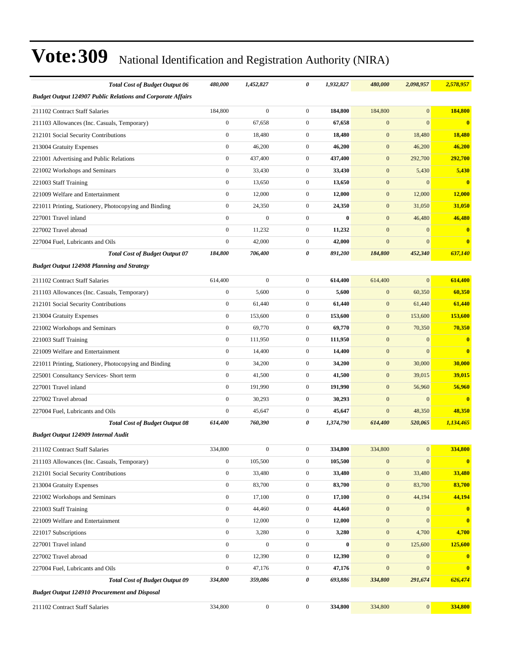| <b>Total Cost of Budget Output 06</b>                              | 480,000          | 1,452,827        | 0                | 1,932,827 | 480,000          | 2,098,957        | 2,578,957               |
|--------------------------------------------------------------------|------------------|------------------|------------------|-----------|------------------|------------------|-------------------------|
| <b>Budget Output 124907 Public Relations and Corporate Affairs</b> |                  |                  |                  |           |                  |                  |                         |
| 211102 Contract Staff Salaries                                     | 184,800          | $\mathbf{0}$     | $\mathbf{0}$     | 184,800   | 184,800          | $\mathbf{0}$     | 184,800                 |
| 211103 Allowances (Inc. Casuals, Temporary)                        | $\boldsymbol{0}$ | 67,658           | $\boldsymbol{0}$ | 67,658    | $\mathbf{0}$     | $\mathbf{0}$     | $\mathbf{0}$            |
| 212101 Social Security Contributions                               | $\boldsymbol{0}$ | 18,480           | $\mathbf{0}$     | 18,480    | $\boldsymbol{0}$ | 18,480           | 18,480                  |
| 213004 Gratuity Expenses                                           | $\boldsymbol{0}$ | 46,200           | $\boldsymbol{0}$ | 46,200    | $\mathbf{0}$     | 46,200           | 46,200                  |
| 221001 Advertising and Public Relations                            | $\mathbf{0}$     | 437,400          | $\boldsymbol{0}$ | 437,400   | $\mathbf{0}$     | 292,700          | 292,700                 |
| 221002 Workshops and Seminars                                      | $\boldsymbol{0}$ | 33,430           | $\mathbf{0}$     | 33,430    | $\mathbf{0}$     | 5,430            | 5,430                   |
| 221003 Staff Training                                              | $\boldsymbol{0}$ | 13,650           | $\boldsymbol{0}$ | 13,650    | $\mathbf{0}$     | $\mathbf{0}$     | $\overline{\mathbf{0}}$ |
| 221009 Welfare and Entertainment                                   | $\boldsymbol{0}$ | 12,000           | $\mathbf{0}$     | 12,000    | $\bf{0}$         | 12,000           | 12,000                  |
| 221011 Printing, Stationery, Photocopying and Binding              | $\boldsymbol{0}$ | 24,350           | $\boldsymbol{0}$ | 24,350    | $\mathbf{0}$     | 31,050           | 31,050                  |
| 227001 Travel inland                                               | $\mathbf{0}$     | $\mathbf{0}$     | $\mathbf{0}$     | $\bf{0}$  | $\mathbf{0}$     | 46,480           | 46,480                  |
| 227002 Travel abroad                                               | $\mathbf{0}$     | 11,232           | $\mathbf{0}$     | 11,232    | $\mathbf{0}$     | $\mathbf{0}$     | $\bf{0}$                |
| 227004 Fuel, Lubricants and Oils                                   | $\boldsymbol{0}$ | 42,000           | $\boldsymbol{0}$ | 42,000    | $\mathbf{0}$     | $\mathbf{0}$     | $\mathbf{0}$            |
| <b>Total Cost of Budget Output 07</b>                              | 184,800          | 706,400          | 0                | 891,200   | 184,800          | 452,340          | 637,140                 |
| <b>Budget Output 124908 Planning and Strategy</b>                  |                  |                  |                  |           |                  |                  |                         |
| 211102 Contract Staff Salaries                                     | 614,400          | $\mathbf{0}$     | $\mathbf{0}$     | 614,400   | 614,400          | $\mathbf{0}$     | 614,400                 |
| 211103 Allowances (Inc. Casuals, Temporary)                        | $\boldsymbol{0}$ | 5,600            | $\boldsymbol{0}$ | 5,600     | $\mathbf{0}$     | 60,350           | 60,350                  |
| 212101 Social Security Contributions                               | $\boldsymbol{0}$ | 61,440           | $\mathbf{0}$     | 61,440    | $\mathbf{0}$     | 61,440           | 61,440                  |
| 213004 Gratuity Expenses                                           | $\boldsymbol{0}$ | 153,600          | $\boldsymbol{0}$ | 153,600   | $\boldsymbol{0}$ | 153,600          | 153,600                 |
| 221002 Workshops and Seminars                                      | $\overline{0}$   | 69,770           | $\mathbf{0}$     | 69,770    | $\mathbf{0}$     | 70,350           | 70,350                  |
| 221003 Staff Training                                              | $\boldsymbol{0}$ | 111,950          | $\mathbf{0}$     | 111,950   | $\mathbf{0}$     | $\mathbf{0}$     | $\bf{0}$                |
| 221009 Welfare and Entertainment                                   | $\mathbf{0}$     | 14,400           | $\boldsymbol{0}$ | 14,400    | $\mathbf{0}$     | $\overline{0}$   | $\bf{0}$                |
| 221011 Printing, Stationery, Photocopying and Binding              | $\boldsymbol{0}$ | 34,200           | $\mathbf{0}$     | 34,200    | $\mathbf{0}$     | 30,000           | 30,000                  |
| 225001 Consultancy Services- Short term                            | $\boldsymbol{0}$ | 41,500           | $\boldsymbol{0}$ | 41,500    | $\boldsymbol{0}$ | 39,015           | 39,015                  |
| 227001 Travel inland                                               | $\mathbf{0}$     | 191,990          | $\mathbf{0}$     | 191,990   | $\mathbf{0}$     | 56,960           | 56,960                  |
| 227002 Travel abroad                                               | $\boldsymbol{0}$ | 30,293           | $\mathbf{0}$     | 30,293    | $\mathbf{0}$     | $\mathbf{0}$     | $\mathbf{0}$            |
| 227004 Fuel, Lubricants and Oils                                   | $\boldsymbol{0}$ | 45,647           | $\boldsymbol{0}$ | 45,647    | $\boldsymbol{0}$ | 48,350           | 48,350                  |
| <b>Total Cost of Budget Output 08</b>                              | 614,400          | 760,390          | 0                | 1,374,790 | 614,400          | 520,065          | 1,134,465               |
| <b>Budget Output 124909 Internal Audit</b>                         |                  |                  |                  |           |                  |                  |                         |
| 211102 Contract Staff Salaries                                     | 334,800          | $\boldsymbol{0}$ | $\boldsymbol{0}$ | 334,800   | 334,800          | $\boldsymbol{0}$ | 334,800                 |
| 211103 Allowances (Inc. Casuals, Temporary)                        | $\boldsymbol{0}$ | 105,500          | $\mathbf{0}$     | 105,500   | $\boldsymbol{0}$ | $\mathbf{0}$     | $\bf{0}$                |
| 212101 Social Security Contributions                               | $\boldsymbol{0}$ | 33,480           | $\boldsymbol{0}$ | 33,480    | $\boldsymbol{0}$ | 33,480           | 33,480                  |
| 213004 Gratuity Expenses                                           | $\boldsymbol{0}$ | 83,700           | $\boldsymbol{0}$ | 83,700    | $\boldsymbol{0}$ | 83,700           | 83,700                  |
| 221002 Workshops and Seminars                                      | $\boldsymbol{0}$ | 17,100           | $\boldsymbol{0}$ | 17,100    | $\mathbf{0}$     | 44,194           | 44,194                  |
| 221003 Staff Training                                              | $\boldsymbol{0}$ | 44,460           | $\boldsymbol{0}$ | 44,460    | $\boldsymbol{0}$ | $\boldsymbol{0}$ | $\bf{0}$                |
| 221009 Welfare and Entertainment                                   | $\boldsymbol{0}$ | 12,000           | $\boldsymbol{0}$ | 12,000    | $\boldsymbol{0}$ | $\boldsymbol{0}$ | $\bf{0}$                |
| 221017 Subscriptions                                               | $\boldsymbol{0}$ | 3,280            | $\boldsymbol{0}$ | 3,280     | $\boldsymbol{0}$ | 4,700            | 4,700                   |
| 227001 Travel inland                                               | $\boldsymbol{0}$ | $\boldsymbol{0}$ | $\boldsymbol{0}$ | $\bf{0}$  | $\boldsymbol{0}$ | 125,600          | 125,600                 |
| 227002 Travel abroad                                               | $\boldsymbol{0}$ | 12,390           | $\boldsymbol{0}$ | 12,390    | $\boldsymbol{0}$ | $\boldsymbol{0}$ | $\bf{0}$                |
| 227004 Fuel, Lubricants and Oils                                   | $\boldsymbol{0}$ | 47,176           | $\boldsymbol{0}$ | 47,176    | $\boldsymbol{0}$ | $\boldsymbol{0}$ | $\bf{0}$                |
| <b>Total Cost of Budget Output 09</b>                              | 334,800          | 359,086          | 0                | 693,886   | 334,800          | 291,674          | 626,474                 |
| <b>Budget Output 124910 Procurement and Disposal</b>               |                  |                  |                  |           |                  |                  |                         |
| 211102 Contract Staff Salaries                                     | 334,800          | $\boldsymbol{0}$ | $\boldsymbol{0}$ | 334,800   | 334,800          | $\vert 0 \vert$  | 334,800                 |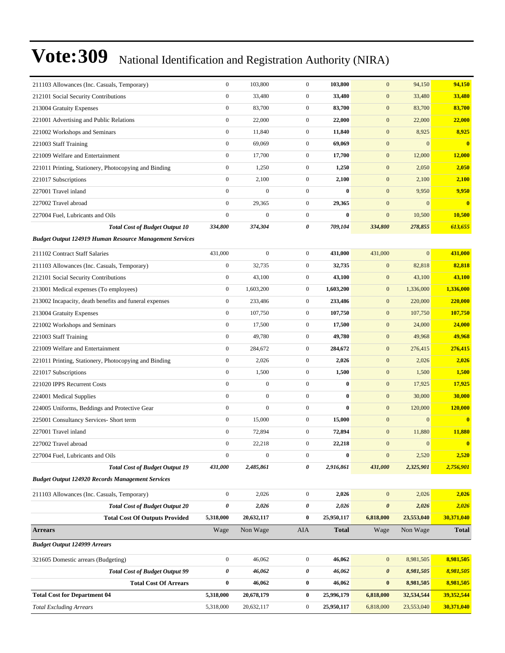| 211103 Allowances (Inc. Casuals, Temporary)                    | $\boldsymbol{0}$ | 103,800          | $\boldsymbol{0}$ | 103,800      | $\mathbf{0}$          | 94,150       | 94,150                  |
|----------------------------------------------------------------|------------------|------------------|------------------|--------------|-----------------------|--------------|-------------------------|
| 212101 Social Security Contributions                           | $\boldsymbol{0}$ | 33,480           | $\boldsymbol{0}$ | 33,480       | $\mathbf{0}$          | 33,480       | 33,480                  |
| 213004 Gratuity Expenses                                       | $\boldsymbol{0}$ | 83,700           | $\boldsymbol{0}$ | 83,700       | $\boldsymbol{0}$      | 83,700       | 83,700                  |
| 221001 Advertising and Public Relations                        | $\boldsymbol{0}$ | 22,000           | $\boldsymbol{0}$ | 22,000       | $\mathbf{0}$          | 22,000       | 22,000                  |
| 221002 Workshops and Seminars                                  | $\boldsymbol{0}$ | 11,840           | $\overline{0}$   | 11,840       | $\mathbf{0}$          | 8,925        | 8,925                   |
| 221003 Staff Training                                          | $\boldsymbol{0}$ | 69,069           | $\mathbf{0}$     | 69,069       | $\mathbf{0}$          | $\mathbf{0}$ | $\mathbf{0}$            |
| 221009 Welfare and Entertainment                               | $\boldsymbol{0}$ | 17,700           | $\boldsymbol{0}$ | 17,700       | $\mathbf{0}$          | 12,000       | 12,000                  |
| 221011 Printing, Stationery, Photocopying and Binding          | $\boldsymbol{0}$ | 1,250            | $\boldsymbol{0}$ | 1,250        | $\boldsymbol{0}$      | 2,050        | 2,050                   |
| 221017 Subscriptions                                           | $\boldsymbol{0}$ | 2,100            | $\overline{0}$   | 2,100        | $\mathbf{0}$          | 2,100        | 2,100                   |
| 227001 Travel inland                                           | $\mathbf{0}$     | $\boldsymbol{0}$ | $\overline{0}$   | $\bf{0}$     | $\boldsymbol{0}$      | 9,950        | 9,950                   |
| 227002 Travel abroad                                           | $\boldsymbol{0}$ | 29,365           | $\overline{0}$   | 29,365       | $\mathbf{0}$          | $\mathbf{0}$ | $\overline{\mathbf{0}}$ |
| 227004 Fuel, Lubricants and Oils                               | $\boldsymbol{0}$ | $\boldsymbol{0}$ | $\boldsymbol{0}$ | $\bf{0}$     | $\mathbf{0}$          | 10,500       | 10,500                  |
| <b>Total Cost of Budget Output 10</b>                          | 334,800          | 374,304          | 0                | 709,104      | 334,800               | 278,855      | 613,655                 |
| <b>Budget Output 124919 Human Resource Management Services</b> |                  |                  |                  |              |                       |              |                         |
| 211102 Contract Staff Salaries                                 | 431,000          | $\boldsymbol{0}$ | $\boldsymbol{0}$ | 431,000      | 431,000               | $\mathbf{0}$ | 431,000                 |
| 211103 Allowances (Inc. Casuals, Temporary)                    | $\boldsymbol{0}$ | 32,735           | $\boldsymbol{0}$ | 32,735       | $\mathbf{0}$          | 82,818       | 82,818                  |
| 212101 Social Security Contributions                           | $\boldsymbol{0}$ | 43,100           | $\mathbf{0}$     | 43,100       | $\mathbf{0}$          | 43,100       | 43,100                  |
| 213001 Medical expenses (To employees)                         | $\boldsymbol{0}$ | 1,603,200        | $\mathbf{0}$     | 1,603,200    | $\mathbf{0}$          | 1,336,000    | 1,336,000               |
| 213002 Incapacity, death benefits and funeral expenses         | $\boldsymbol{0}$ | 233,486          | $\mathbf{0}$     | 233,486      | $\mathbf{0}$          | 220,000      | 220,000                 |
| 213004 Gratuity Expenses                                       | $\boldsymbol{0}$ | 107,750          | $\boldsymbol{0}$ | 107,750      | $\mathbf{0}$          | 107,750      | 107,750                 |
| 221002 Workshops and Seminars                                  | $\boldsymbol{0}$ | 17,500           | $\boldsymbol{0}$ | 17,500       | $\mathbf{0}$          | 24,000       | 24,000                  |
| 221003 Staff Training                                          | $\boldsymbol{0}$ | 49,780           | $\overline{0}$   | 49,780       | $\mathbf{0}$          | 49,968       | 49,968                  |
| 221009 Welfare and Entertainment                               | $\boldsymbol{0}$ | 284,672          | $\mathbf{0}$     | 284,672      | $\mathbf{0}$          | 276,415      | 276,415                 |
| 221011 Printing, Stationery, Photocopying and Binding          | $\boldsymbol{0}$ | 2,026            | $\mathbf{0}$     | 2,026        | $\mathbf{0}$          | 2,026        | 2,026                   |
| 221017 Subscriptions                                           | $\boldsymbol{0}$ | 1,500            | $\boldsymbol{0}$ | 1,500        | $\mathbf{0}$          | 1,500        | 1,500                   |
| 221020 IPPS Recurrent Costs                                    | $\boldsymbol{0}$ | $\boldsymbol{0}$ | $\overline{0}$   | $\bf{0}$     | $\mathbf{0}$          | 17,925       | 17,925                  |
| 224001 Medical Supplies                                        | $\boldsymbol{0}$ | $\boldsymbol{0}$ | $\overline{0}$   | $\bf{0}$     | $\mathbf{0}$          | 30,000       | 30,000                  |
| 224005 Uniforms, Beddings and Protective Gear                  | $\boldsymbol{0}$ | $\overline{0}$   | $\overline{0}$   | $\bf{0}$     | $\mathbf{0}$          | 120,000      | 120,000                 |
| 225001 Consultancy Services- Short term                        | $\boldsymbol{0}$ | 15,000           | $\mathbf{0}$     | 15,000       | $\mathbf{0}$          | $\mathbf{0}$ | $\bf{0}$                |
| 227001 Travel inland                                           | $\boldsymbol{0}$ | 72,894           | $\boldsymbol{0}$ | 72,894       | $\mathbf{0}$          | 11,880       | 11,880                  |
| 227002 Travel abroad                                           | $\mathbf{0}$     | 22,218           | $\overline{0}$   | 22,218       | $\mathbf{0}$          | $\mathbf{0}$ | $\mathbf{0}$            |
| 227004 Fuel, Lubricants and Oils                               | $\boldsymbol{0}$ | $\boldsymbol{0}$ | $\boldsymbol{0}$ | $\bf{0}$     | $\mathbf{0}$          | 2,520        | 2,520                   |
| <b>Total Cost of Budget Output 19</b>                          | 431,000          | 2,485,861        | 0                | 2,916,861    | 431,000               | 2,325,901    | 2,756,901               |
| <b>Budget Output 124920 Records Management Services</b>        |                  |                  |                  |              |                       |              |                         |
| 211103 Allowances (Inc. Casuals, Temporary)                    | $\boldsymbol{0}$ | 2,026            | $\boldsymbol{0}$ | 2,026        | $\boldsymbol{0}$      | 2,026        | 2,026                   |
| <b>Total Cost of Budget Output 20</b>                          | $\pmb{\theta}$   | 2,026            | 0                | 2,026        | $\boldsymbol{\theta}$ | 2,026        | 2,026                   |
| <b>Total Cost Of Outputs Provided</b>                          | 5,318,000        | 20,632,117       | $\bf{0}$         | 25,950,117   | 6,818,000             | 23,553,040   | 30,371,040              |
| <b>Arrears</b>                                                 | Wage             | Non Wage         | AIA              | <b>Total</b> | Wage                  | Non Wage     | <b>Total</b>            |
| <b>Budget Output 124999 Arrears</b>                            |                  |                  |                  |              |                       |              |                         |
| 321605 Domestic arrears (Budgeting)                            | $\boldsymbol{0}$ | 46,062           | $\mathbf{0}$     | 46,062       | $\mathbf{0}$          | 8,981,505    | 8,981,505               |
| <b>Total Cost of Budget Output 99</b>                          | 0                | 46,062           | 0                | 46,062       | $\boldsymbol{\theta}$ | 8,981,505    | 8,981,505               |
| <b>Total Cost Of Arrears</b>                                   | $\bf{0}$         | 46,062           | $\bf{0}$         | 46,062       | $\bf{0}$              | 8,981,505    | 8,981,505               |
| <b>Total Cost for Department 04</b>                            | 5,318,000        | 20,678,179       | $\bf{0}$         | 25,996,179   | 6,818,000             | 32,534,544   | 39,352,544              |
| <b>Total Excluding Arrears</b>                                 | 5,318,000        | 20,632,117       | $\boldsymbol{0}$ | 25,950,117   | 6,818,000             | 23,553,040   | 30,371,040              |